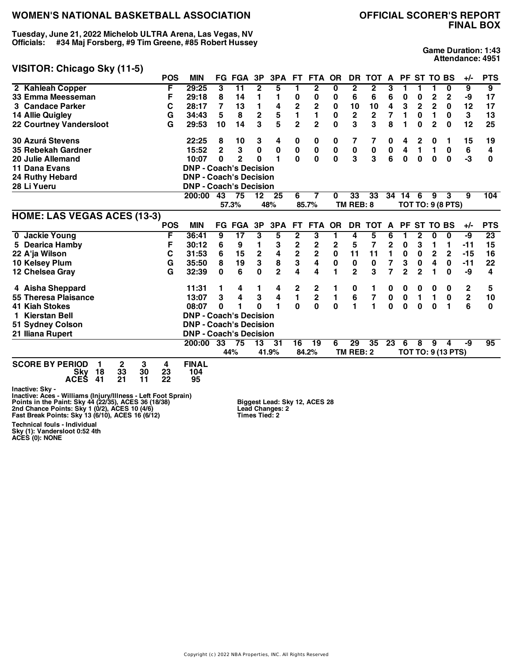**Tuesday, June 21, 2022 Michelob ULTRA Arena, Las Vegas, NV Officials: #34 Maj Forsberg, #9 Tim Greene, #85 Robert Hussey**

# **FINAL BOX**

**Game Duration: 1:43 Attendance: 4951**

#### **VISITOR: Chicago Sky (11-5)**

|                                       | <b>POS</b> | <b>MIN</b>                    | FG             | <b>FGA</b>               | 3P                      | 3PA            | FT.                     | FTA                     | <b>OR</b>   | DR             | <b>TOT</b>     | A                       |                | PF ST TO BS  |                 |                          | $+/-$       | <b>PTS</b>      |
|---------------------------------------|------------|-------------------------------|----------------|--------------------------|-------------------------|----------------|-------------------------|-------------------------|-------------|----------------|----------------|-------------------------|----------------|--------------|-----------------|--------------------------|-------------|-----------------|
| 2 Kahleah Copper                      | F          | 29:25                         | 3              | $\overline{11}$          | $\mathbf{2}$            | 5              |                         | $\mathbf{2}$            | 0           | $\mathbf{2}$   | $\mathbf{2}$   | 3                       |                |              |                 | 0                        | 9           | $\overline{9}$  |
| 33 Emma Meesseman                     | F          | 29:18                         | 8              | 14                       | 1                       | 1              | 0                       | 0                       | 0           | 6              | 6              | 6                       | 0              | 0            | $\overline{2}$  | 2                        | -9          | 17              |
| 3 Candace Parker                      | С          | 28:17                         | 7              | 13                       | 1                       | 4              | $\overline{\mathbf{c}}$ | $\overline{\mathbf{c}}$ | 0           | 10             | 10             | 4                       | 3              | $\mathbf{2}$ | $\overline{2}$  | $\bf{0}$                 | 12          | 17              |
| 14 Allie Quigley                      | G          | 34:43                         | 5              | 8                        | $\overline{\mathbf{c}}$ | 5              | $\mathbf{1}$            | 1                       | 0           | 2              | $\mathbf{2}$   | 7                       | 1              | 0            | 1               | 0                        | 3           | 13              |
| <b>22 Courtney Vandersloot</b>        | G          | 29:53                         | 10             | 14                       | 3                       | 5              | $\overline{2}$          | $\overline{2}$          | 0           | 3              | 3              | 8                       | 1              | $\bf{0}$     | $\overline{2}$  | $\bf{0}$                 | 12          | 25              |
| <b>30 Azurá Stevens</b>               |            | 22:25                         | 8              | 10                       | 3                       | 4              | 0                       | 0                       | 0           | 7              |                | 0                       | 4              | 2            | 0               |                          | 15          | 19              |
| 35 Rebekah Gardner                    |            | 15:52                         | $\overline{2}$ | 3                        | $\bf{0}$                | 0              | 0                       | $\pmb{0}$               | 0           | $\pmb{0}$      | $\bf{0}$       | $\pmb{0}$               | 4              | 1            | 1               | 0                        | 6           | 4               |
| 20 Julie Allemand                     |            | 10:07                         | $\bf{0}$       | $\overline{2}$           | $\Omega$                | 1              | $\mathbf{0}$            | 0                       | $\mathbf 0$ | 3              | 3              | 6                       | $\mathbf{0}$   | $\bf{0}$     | 0               | $\mathbf 0$              | -3          | 0               |
| 11 Dana Evans                         |            | <b>DNP - Coach's Decision</b> |                |                          |                         |                |                         |                         |             |                |                |                         |                |              |                 |                          |             |                 |
| 24 Ruthy Hebard                       |            | <b>DNP - Coach's Decision</b> |                |                          |                         |                |                         |                         |             |                |                |                         |                |              |                 |                          |             |                 |
| 28 Li Yueru                           |            | <b>DNP - Coach's Decision</b> |                |                          |                         |                |                         |                         |             |                |                |                         |                |              |                 |                          |             |                 |
|                                       |            | 200:00                        | 43             | 75                       | 12                      | 25             | 6                       | 7                       | 0           | 33             | 33             | 34                      | 14             | 6            | 9               | 3                        | 9           | 104             |
|                                       |            |                               |                | 57.3%                    |                         | 48%            |                         | 85.7%                   |             | TM REB: 8      |                |                         |                |              |                 | <b>TOT TO: 9 (8 PTS)</b> |             |                 |
| <b>HOME: LAS VEGAS ACES (13-3)</b>    |            |                               |                |                          |                         |                |                         |                         |             |                |                |                         |                |              |                 |                          |             |                 |
|                                       | <b>POS</b> | <b>MIN</b>                    |                | <b>FG FGA</b>            | 3P                      | 3PA            | FT.                     | FTA OR                  |             | <b>DR</b>      | <b>TOT</b>     | A                       | <b>PF</b>      |              | <b>ST TO BS</b> |                          | $+/-$       | <b>PTS</b>      |
| 0 Jackie Young                        | F          | 36:41                         | 9              | $\overline{\mathbf{17}}$ | 3                       | 5              | $\overline{\mathbf{2}}$ | 3                       | 1           | 4              | 5              | 6                       | 1              | $\mathbf{2}$ | 0               | 0                        | -9          | $\overline{23}$ |
| 5 Dearica Hamby                       | F          | 30:12                         | 6              | 9                        | 1                       | 3              | $\mathbf 2$             | $\mathbf 2$             | 2           | 5              | 7              | 2                       | 0              | 3            | 1               | 1                        | $-11$       | 15              |
| 22 A'ja Wilson                        | C          | 31:53                         | 6              | 15                       | $\mathbf 2$             | 4              | $\overline{\mathbf{2}}$ | $\mathbf 2$             | $\mathbf 0$ | 11             | 11             | 1                       | $\pmb{0}$      | $\bf{0}$     | $\overline{2}$  | $\mathbf 2$              | $-15$       | 16              |
| 10 Kelsey Plum                        | G          | 35:50                         | 8              | 19                       | 3                       | 8              | 3                       | 4                       | 0           | $\pmb{0}$      | 0              | $\overline{\mathbf{r}}$ | 3              | 0            | 4               | $\mathbf 0$              | $-11$       | 22              |
| 12 Chelsea Gray                       | G          | 32:39                         | 0              | 6                        | $\mathbf 0$             | $\overline{2}$ | 4                       | 4                       | 1           | $\overline{2}$ | 3              | $\overline{7}$          | $\overline{2}$ | $\mathbf{2}$ | 1               | $\mathbf 0$              | -9          | 4               |
| 4 Aisha Sheppard                      |            | 11:31                         | 1              | 4                        | 1                       | 4              | $\mathbf 2$             | 2                       | 1           | 0              | 1              | 0                       | 0              | 0            | 0               | 0                        | 2           | 5               |
| 55 Theresa Plaisance                  |            | 13:07                         | 3              | 4                        | 3                       | 4              | $\blacksquare$          | $\mathbf 2$             | 1           | 6              | 7              | $\pmb{0}$               | 0              | 1            | $\mathbf{1}$    | 0                        | $\mathbf 2$ | 10              |
| <b>41 Kiah Stokes</b>                 |            | 08:07                         | $\bf{0}$       | 1                        | O                       | 1              | $\mathbf{0}$            | 0                       | $\mathbf 0$ | 1              | $\blacksquare$ | $\mathbf 0$             | $\mathbf{0}$   | $\mathbf 0$  | $\bf{0}$        | 1                        | 6           | $\bf{0}$        |
| <b>Kierstan Bell</b><br>1.            |            | <b>DNP - Coach's Decision</b> |                |                          |                         |                |                         |                         |             |                |                |                         |                |              |                 |                          |             |                 |
| 51 Sydney Colson                      |            | <b>DNP - Coach's Decision</b> |                |                          |                         |                |                         |                         |             |                |                |                         |                |              |                 |                          |             |                 |
| 21 Iliana Rupert                      |            | <b>DNP - Coach's Decision</b> |                |                          |                         |                |                         |                         |             |                |                |                         |                |              |                 |                          |             |                 |
|                                       |            | 200:00                        | 33             | 75                       | 13                      | 31             | 16                      | 19                      | 6           | 29             | 35             | 23                      | 6              | 8            | 9               | 4                        | -9          | 95              |
|                                       |            |                               |                | 44%                      |                         | 41.9%          |                         | 84.2%                   |             | TM REB: 2      |                |                         |                |              |                 | TOT TO: 9 (13 PTS)       |             |                 |
| 3<br><b>SCORE BY PERIOD</b><br>2<br>1 | 4          | <b>FINAL</b>                  |                |                          |                         |                |                         |                         |             |                |                |                         |                |              |                 |                          |             |                 |
| 33<br>30<br>18<br>Skv                 | 23         | 104                           |                |                          |                         |                |                         |                         |             |                |                |                         |                |              |                 |                          |             |                 |
| <b>ACES</b><br>41<br>21<br>11         | 22         | 95                            |                |                          |                         |                |                         |                         |             |                |                |                         |                |              |                 |                          |             |                 |
| Inactive: Sky -                       |            |                               |                |                          |                         |                |                         |                         |             |                |                |                         |                |              |                 |                          |             |                 |

Inactive: Sky -<br>Inactive: Aces - Williams (Injury/Illness - Left Foot Sprain)<br>Points in the Paint: Sky 44 (22/35), ACES 36 (18/38)<br>2nd Chance Points: Sky 1 (0/2), ACES 10 (4/6)<br>Fast Break Points: Sky 13 (6/10), ACES 16 (6/

**Biggest Lead: Sky 12, ACES 28 Lead Changes: 2 Times Tied: 2**

**Technical fouls - Individual Sky (1): Vandersloot 0:52 4th ACES (0): NONE**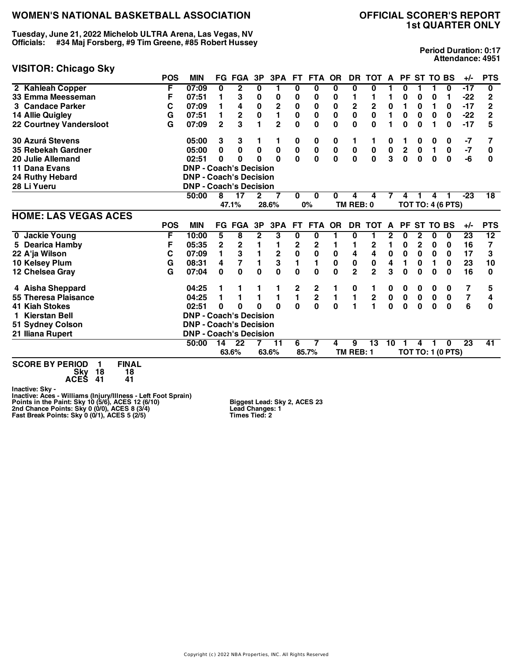**Tuesday, June 21, 2022 Michelob ULTRA Arena, Las Vegas, NV Officials: #34 Maj Forsberg, #9 Tim Greene, #85 Robert Hussey**

#### **VISITOR: Chicago Sky**

**Period Duration: 0:17 Attendance: 4951**

|                                | <b>POS</b> | <b>MIN</b>                    |              | <b>FG FGA</b>    | 3P           | 3PA            | FT.           | <b>FTA</b>    | <b>OR</b>    | <b>DR</b>      | тот                     | A         | <b>PF</b>   |             | <b>ST TO BS</b> |                          | $+/-$           | <b>PTS</b>      |
|--------------------------------|------------|-------------------------------|--------------|------------------|--------------|----------------|---------------|---------------|--------------|----------------|-------------------------|-----------|-------------|-------------|-----------------|--------------------------|-----------------|-----------------|
| 2 Kahleah Copper               | F          | 07:09                         | 0            | 2                | 0            | 1              | 0             | 0             | 0            | 0              | 0                       |           | 0           |             |                 | 0                        | -17             | 0               |
| 33 Emma Meesseman              | F          | 07:51                         | 1            | 3                | 0            | 0              | 0             | 0             | 0            |                | 1                       |           | 0           | 0           | 0               | 1                        | -22             | 2               |
| 3 Candace Parker               | С          | 07:09                         | 1            | 4                | $\mathbf 0$  | $\mathbf 2$    | $\pmb{0}$     | 0             | 0            | $\mathbf 2$    | $\overline{\mathbf{c}}$ | $\pmb{0}$ | 1           | $\bf{0}$    | 1               | 0                        | $-17$           | $\overline{2}$  |
| 14 Allie Quigley               | G          | 07:51                         | 1            | $\mathbf 2$      | $\mathbf 0$  | $\blacksquare$ | $\bf{0}$      | 0             | $\mathbf 0$  | $\mathbf 0$    | $\mathbf 0$             | 1         | 0           | $\mathbf 0$ | 0               | 0                        | $-22$           | $\overline{2}$  |
| <b>22 Courtney Vandersloot</b> | G          | 07:09                         | $\mathbf{2}$ | 3                | 1            | $\overline{2}$ | 0             | $\mathbf 0$   | 0            | 0              | $\mathbf{0}$            |           | 0           | 0           | 1               | 0                        | $-17$           | 5               |
| <b>30 Azurá Stevens</b>        |            | 05:00                         | 3            | 3                |              |                | 0             | 0             | 0            | 1              |                         | 0         |             | 0           | 0               | 0                        | -7              |                 |
| 35 Rebekah Gardner             |            | 05:00                         | 0            | $\mathbf 0$      | 0            | $\pmb{0}$      | $\pmb{0}$     | $\pmb{0}$     | $\mathbf 0$  | 0              | $\pmb{0}$               | $\pmb{0}$ | $\mathbf 2$ | $\mathbf 0$ | $\blacksquare$  | $\pmb{0}$                | $-7$            | 0               |
| 20 Julie Allemand              |            | 02:51                         | 0            | $\bf{0}$         | $\Omega$     | $\Omega$       | $\bf{0}$      | $\mathbf 0$   | $\mathbf{0}$ | $\mathbf 0$    | $\mathbf 0$             | 3         | $\mathbf 0$ | $\mathbf 0$ | 0               | $\bf{0}$                 | -6              | $\bf{0}$        |
| 11 Dana Evans                  |            | <b>DNP - Coach's Decision</b> |              |                  |              |                |               |               |              |                |                         |           |             |             |                 |                          |                 |                 |
| 24 Ruthy Hebard                |            | <b>DNP - Coach's Decision</b> |              |                  |              |                |               |               |              |                |                         |           |             |             |                 |                          |                 |                 |
| 28 Li Yueru                    |            | <b>DNP - Coach's Decision</b> |              |                  |              |                |               |               |              |                |                         |           |             |             |                 |                          |                 |                 |
|                                |            | 50:00                         | 8            | 17               | 2            | 7              | $\bf{0}$      | $\bf{0}$      | 0            | 4              | 4                       |           | 4           |             | 4               |                          | $-23$           | 18              |
|                                |            |                               |              | 47.1%            |              | 28.6%          |               | 0%            |              | TM REB: 0      |                         |           |             |             |                 | <b>TOT TO: 4 (6 PTS)</b> |                 |                 |
| <b>HOME: LAS VEGAS ACES</b>    |            |                               |              |                  |              |                |               |               |              |                |                         |           |             |             |                 |                          |                 |                 |
|                                | <b>POS</b> | <b>MIN</b>                    |              | <b>FG FGA</b>    | 3P           | 3PA            | FT.           | FTA OR        |              | DR.            | <b>TOT</b>              | A         | <b>PF</b>   |             | ST TO BS        |                          | $+/-$           | <b>PTS</b>      |
| 0 Jackie Young                 | F          | 10:00                         | 5            | 8                | $\mathbf{2}$ | 3              | 0             | 0             |              | 0              | 1                       | 2         | 0           | 2           | 0               | 0                        | $\overline{23}$ | 12              |
| 5 Dearica Hamby                | F          | 05:35                         | 2            | $\boldsymbol{2}$ |              | 1              | 2             | 2             |              |                | 2                       | 1         | 0           | $\mathbf 2$ | 0               | 0                        | 16              | 7               |
| 22 A'ja Wilson                 | С          | 07:09                         | 1            | 3                |              | $\frac{2}{3}$  | $\bf{0}$      | 0             | $\pmb{0}$    | 4              | 4                       | $\pmb{0}$ | $\pmb{0}$   | $\mathbf 0$ | $\mathbf 0$     | 0                        | 17              | 3               |
| 10 Kelsey Plum                 | G          | 08:31                         | 4            | $\overline{7}$   | 1            |                | $\mathbf{1}$  | 1             | $\mathbf 0$  | $\pmb{0}$      | $\pmb{0}$               | 4         | 1           | 0           | 1               | 0                        | 23              | 10              |
| 12 Chelsea Gray                | G          | 07:04                         | $\mathbf 0$  | $\mathbf{0}$     | $\bf{0}$     | $\mathbf{0}$   | 0             | $\mathbf 0$   | $\mathbf{0}$ | $\overline{2}$ | $\overline{2}$          | 3         | 0           | 0           | 0               | $\bf{0}$                 | 16              | 0               |
| 4 Aisha Sheppard               |            | 04:25                         |              |                  |              | 1              | $\frac{2}{1}$ | $\frac{2}{2}$ |              | 0              |                         | 0         | 0           | 0           | 0               | 0                        |                 | 5               |
| 55 Theresa Plaisance           |            | 04:25                         | 1.           | 1                |              | 1              |               |               | 1            | $\mathbf{1}$   | $\mathbf{2}$            | $\pmb{0}$ | $\mathbf 0$ | $\mathbf 0$ | $\mathbf 0$     | $\mathbf 0$              | $\overline{7}$  | 4               |
| <b>41 Kiah Stokes</b>          |            | 02:51                         | 0            | $\bf{0}$         | O            | $\Omega$       | $\bf{0}$      | $\bf{0}$      | $\bf{0}$     | 1              | 1                       | $\bf{0}$  | $\bf{0}$    | $\bf{0}$    | $\bf{0}$        | $\bf{0}$                 | 6               | $\bf{0}$        |
| 1 Kierstan Bell                |            | <b>DNP - Coach's Decision</b> |              |                  |              |                |               |               |              |                |                         |           |             |             |                 |                          |                 |                 |
| 51 Sydney Colson               |            | <b>DNP - Coach's Decision</b> |              |                  |              |                |               |               |              |                |                         |           |             |             |                 |                          |                 |                 |
| 21 Iliana Rupert               |            | <b>DNP - Coach's Decision</b> |              |                  |              |                |               |               |              |                |                         |           |             |             |                 |                          |                 |                 |
|                                |            | 50:00                         | 14           | 22               |              | 11             | 6             | 7             | 4            | 9              | 13                      | 10        |             | 4           |                 | 0                        | 23              | $\overline{41}$ |
|                                |            |                               |              | 63.6%            |              | 63.6%          |               | 85.7%         |              | TM REB: 1      |                         |           |             |             |                 | <b>TOT TO: 1 (0 PTS)</b> |                 |                 |
|                                |            |                               |              |                  |              |                |               |               |              |                |                         |           |             |             |                 |                          |                 |                 |

**SCORE BY PERIOD 1 FINAL Sky 18 18 ACES 41 41**

Inactive: Sky -<br>Inactive: Aces - Williams (Injury/Illness - Left Foot Sprain)<br>Points in the Paint: Sky 10 (5/6), ACES 12 (6/10)<br>2nd Chance Points: Sky 0 (0/0), ACES 8 (3/4)<br>Fast Break Points: Sky 0 (0/1), ACES 5 (2/5)

**Biggest Lead: Sky 2, ACES 23 Lead Changes: 1 Times Tied: 2**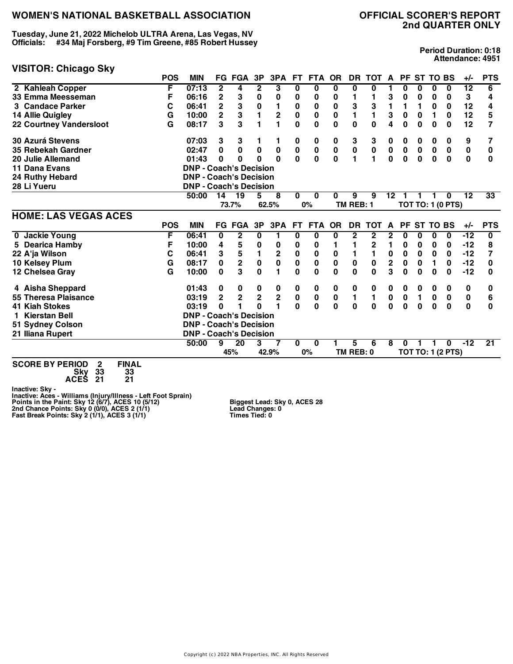**Tuesday, June 21, 2022 Michelob ULTRA Arena, Las Vegas, NV Officials: #34 Maj Forsberg, #9 Tim Greene, #85 Robert Hussey**

#### **VISITOR: Chicago Sky**

**Period Duration: 0:18 Attendance: 4951**

|                                     | <b>POS</b> | <b>MIN</b>                    |                | <b>FG FGA</b>   | 3P                      | 3PA            | FT.          | <b>FTA</b>  | <b>OR</b>    | <b>DR</b>      | <b>TOT</b>     | A                       | <b>PF</b>   |                 | <b>ST TO BS</b> |                          | $+/-$           | <b>PTS</b>              |
|-------------------------------------|------------|-------------------------------|----------------|-----------------|-------------------------|----------------|--------------|-------------|--------------|----------------|----------------|-------------------------|-------------|-----------------|-----------------|--------------------------|-----------------|-------------------------|
| 2 Kahleah Copper                    | F          | 07:13                         | $\mathbf{2}$   | 4               | $\mathbf{2}$            | 3              | 0            | 0           | 0            | 0              | 0              |                         | 0           | 0               | 0               | 0                        | $\overline{12}$ | 6                       |
| 33 Emma Meesseman                   | F          | 06:16                         | 2              | 3               | 0                       | 0              | 0            | 0           | 0            |                | 1              | 3                       | 0           | 0               | 0               | 0                        | 3               | 4                       |
| 3 Candace Parker                    | С          | 06:41                         | $\overline{2}$ | $\mathbf{3}$    | $\pmb{0}$               | 1              | 0            | 0           | 0            | 3              | 3              | 1                       | 1           | 1               | $\bf{0}$        | 0                        | 12              | 4                       |
| 14 Allie Quigley                    | G          | 10:00                         | $\overline{2}$ | $\overline{3}$  | $\blacksquare$          | $\overline{2}$ | $\bf{0}$     | $\mathbf 0$ | $\mathbf 0$  | $\blacksquare$ | $\blacksquare$ | 3                       | $\mathbf 0$ | $\bf{0}$        | 1               | $\mathbf 0$              | 12              | 5                       |
| <b>22 Courtney Vandersloot</b>      | G          | 08:17                         | 3              | 3               |                         | 1              | 0            | $\mathbf 0$ | $\bf{0}$     | 0              | $\mathbf{0}$   | 4                       | 0           | $\bf{0}$        | 0               | $\bf{0}$                 | 12              | 7                       |
| 30 Azurá Stevens                    |            | 07:03                         | 3              | 3               |                         | 1              | 0            | 0           | 0            | 3              | 3              | 0                       | 0           | 0               | 0               | 0                        | 9               | 7                       |
| 35 Rebekah Gardner                  |            | 02:47                         | 0              | $\mathbf 0$     | $\mathbf 0$             | $\pmb{0}$      | $\pmb{0}$    | $\bf{0}$    | $\pmb{0}$    | $\pmb{0}$      | $\pmb{0}$      | $\pmb{0}$               | $\pmb{0}$   | $\pmb{0}$       | $\pmb{0}$       | $\pmb{0}$                | $\pmb{0}$       | $\bf{0}$                |
| 20 Julie Allemand                   |            | 01:43                         | 0              | 0               | $\Omega$                | $\Omega$       | $\mathbf{0}$ | $\mathbf 0$ | $\mathbf{0}$ | 1              | $\blacksquare$ | $\mathbf 0$             | $\mathbf 0$ | $\mathbf 0$     | $\mathbf 0$     | $\mathbf 0$              | 0               | $\bf{0}$                |
| 11 Dana Evans                       |            | <b>DNP - Coach's Decision</b> |                |                 |                         |                |              |             |              |                |                |                         |             |                 |                 |                          |                 |                         |
| 24 Ruthy Hebard                     |            | <b>DNP - Coach's Decision</b> |                |                 |                         |                |              |             |              |                |                |                         |             |                 |                 |                          |                 |                         |
| 28 Li Yueru                         |            | <b>DNP - Coach's Decision</b> |                |                 |                         |                |              |             |              |                |                |                         |             |                 |                 |                          |                 |                         |
|                                     |            | 50:00                         | 14             | $\overline{19}$ | 5                       | 8              | 0            | 0           | 0            | 9              | 9              | $12 \,$                 |             |                 |                 | 0                        | 12              | 33                      |
|                                     |            |                               |                | 73.7%           |                         | 62.5%          |              | 0%          |              | TM REB: 1      |                |                         |             |                 |                 | <b>TOT TO: 1 (0 PTS)</b> |                 |                         |
| <b>HOME: LAS VEGAS ACES</b>         |            |                               |                |                 |                         |                |              |             |              |                |                |                         |             |                 |                 |                          |                 |                         |
|                                     | <b>POS</b> | <b>MIN</b>                    |                | FG FGA          | 3P                      | 3PA            | FT.          | <b>FTA</b>  | <b>OR</b>    | <b>DR</b>      | <b>TOT</b>     | $\mathsf{A}$            | <b>PF</b>   | <b>ST TO BS</b> |                 |                          | $+/-$           | <b>PTS</b>              |
| 0 Jackie Young                      | F          | 06:41                         | 0              | $\mathbf{2}$    | 0                       | 1              | $\bf{0}$     | 0           | 0            | $\overline{2}$ | 2              | $\mathbf 2$             | 0           | 0               | 0               | 0                        | $-12$           | $\overline{\mathbf{0}}$ |
| 5 Dearica Hamby                     | F          | 10:00                         | 4              | 5               | 0                       | 0              | 0            | 0           |              |                | $\mathbf{2}$   | 1                       | 0           | 0               | 0               | 0                        | $-12$           | 8                       |
| 22 A'ja Wilson                      | C          | 06:41                         | 3              | ${\bf 5}$       | $\blacksquare$          | $\mathbf 2$    | $\bf{0}$     | $\pmb{0}$   | 0            | 1              | $\blacksquare$ | $\pmb{0}$               | 0           | $\pmb{0}$       | $\bf{0}$        | 0                        | $-12$           | 7                       |
| 10 Kelsey Plum                      | G          | 08:17                         | 0              | $\overline{2}$  | $\mathbf 0$             | $\mathbf 0$    | $\mathbf 0$  | $\mathbf 0$ | $\mathbf 0$  | $\mathbf 0$    | $\mathbf 0$    | $\overline{\mathbf{2}}$ | $\mathbf 0$ | $\bf{0}$        | 1               | $\mathbf 0$              | $-12$           | 0                       |
| 12 Chelsea Gray                     | G          | 10:00                         | 0              | 3               | $\bf{0}$                | 1              | $\bf{0}$     | $\bf{0}$    | $\bf{0}$     | $\bf{0}$       | $\mathbf{0}$   | 3                       | $\bf{0}$    | $\bf{0}$        | $\bf{0}$        | $\bf{0}$                 | $-12$           | U                       |
| 4 Aisha Sheppard                    |            | 01:43                         | 0              | 0               | $\boldsymbol{0}$        | 0              | 0            | 0           | 0            | 0              | 0              | 0                       | 0           | 0               | 0               | 0                        | 0               | 0                       |
| 55 Theresa Plaisance                |            | 03:19                         | $\overline{2}$ | $\overline{2}$  | $\overline{\mathbf{2}}$ | $\overline{2}$ | $\pmb{0}$    | $\pmb{0}$   | $\pmb{0}$    | 1              | $\blacksquare$ | $\pmb{0}$               | $\mathbf 0$ | $\mathbf{1}$    | $\pmb{0}$       | $\mathbf 0$              | $\pmb{0}$       | 6                       |
| <b>41 Kiah Stokes</b>               |            | 03:19                         | 0              |                 | O                       | 1              | $\mathbf{0}$ | $\mathbf 0$ | $\Omega$     | $\bf{0}$       | $\mathbf{0}$   | $\mathbf 0$             | $\bf{0}$    | $\bf{0}$        | $\bf{0}$        | $\mathbf{0}$             | $\mathbf{0}$    | $\bf{0}$                |
| 1 Kierstan Bell                     |            | <b>DNP - Coach's Decision</b> |                |                 |                         |                |              |             |              |                |                |                         |             |                 |                 |                          |                 |                         |
| 51 Sydney Colson                    |            | <b>DNP - Coach's Decision</b> |                |                 |                         |                |              |             |              |                |                |                         |             |                 |                 |                          |                 |                         |
| 21 Iliana Rupert                    |            | <b>DNP - Coach's Decision</b> |                |                 |                         |                |              |             |              |                |                |                         |             |                 |                 |                          |                 |                         |
|                                     |            | 50:00                         | 9              | 20              | 3                       |                | 0            | 0           |              | 5              | 6              | 8                       | U           |                 |                 | $\bf{0}$                 | $-12$           | 21                      |
|                                     |            |                               |                | 45%             |                         | 42.9%          |              | 0%          |              | TM REB: 0      |                |                         |             |                 |                 | <b>TOT TO: 1 (2 PTS)</b> |                 |                         |
| $0.0005 \text{ N}$<br><b>PILLAI</b> |            |                               |                |                 |                         |                |              |             |              |                |                |                         |             |                 |                 |                          |                 |                         |

**SCORE BY PERIOD 2 FINAL Sky 33 33 ACES 21 21**

Inactive: Sky -<br>Inactive: Aces - Williams (Injury/Illness - Left Foot Sprain)<br>Points in the Paint: Sky 12 (6/7), ACES 10 (5/12)<br>2nd Chance Points: Sky 0 (0/0), ACES 2 (1/1)<br>Fast Break Points: Sky 2 (1/1), ACES 3 (1/1)

**Biggest Lead: Sky 0, ACES 28 Lead Changes: 0 Times Tied: 0**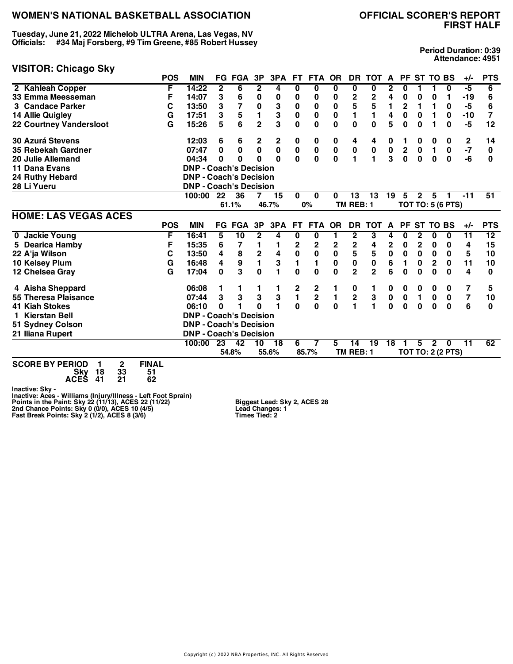**Tuesday, June 21, 2022 Michelob ULTRA Arena, Las Vegas, NV Officials: #34 Maj Forsberg, #9 Tim Greene, #85 Robert Hussey**

#### **VISITOR: Chicago Sky**

**Period Duration: 0:39 Attendance: 4951**

|                                | <b>POS</b>   | <b>MIN</b>                    |             | <b>FG FGA</b>    | 3P             | 3PA       | <b>FT</b>    | <b>FTA</b>              | <b>OR</b>    | <b>DR</b>      | <b>TOT</b>                           | A           | <b>PF</b>    |              | <b>ST TO BS</b> |                          | $+/-$           | <b>PTS</b>      |
|--------------------------------|--------------|-------------------------------|-------------|------------------|----------------|-----------|--------------|-------------------------|--------------|----------------|--------------------------------------|-------------|--------------|--------------|-----------------|--------------------------|-----------------|-----------------|
| 2 Kahleah Copper               | F            | 14:22                         | $\mathbf 2$ | 6                | 2              | 4         | 0            | 0                       | 0            | 0              | 0                                    | 2           | 0            |              |                 | 0                        | -5              | 6               |
| 33 Emma Meesseman              | F            | 14:07                         | 3           | 6                | 0              | 0         | 0            | 0                       | 0            | $\mathbf{2}$   | 2                                    | 4           | 0            | 0            | 0               | 1                        | -19             | 6               |
| 3 Candace Parker               | C            | 13:50                         | 3           | 7                | $\pmb{0}$      | 3         | $\bf{0}$     | 0                       | $\pmb{0}$    | 5              | 5                                    | 1           | $\mathbf 2$  | 1            | 1               | 0                        | -5              | 6               |
| 14 Allie Quigley               | G            | 17:51                         | 3           | $5\phantom{.0}$  | $\mathbf{1}$   | 3         | $\pmb{0}$    | 0                       | $\bf{0}$     | 1              | $\blacksquare$                       | 4           | 0            | $\bf{0}$     | 1               | 0                        | $-10$           | 7               |
| <b>22 Courtney Vandersloot</b> | G            | 15:26                         | 5           | 6                | $\overline{2}$ | 3         | $\bf{0}$     | 0                       | $\bf{0}$     | $\mathbf 0$    | 0                                    | 5           | 0            | 0            |                 | $\bf{0}$                 | -5              | 12              |
| <b>30 Azurá Stevens</b>        |              | 12:03                         | 6           | 6                | 2              | 2         | 0            | 0                       | 0            | 4              | 4                                    | 0           |              | 0            | 0               | 0                        | $\mathbf{2}$    | 14              |
| 35 Rebekah Gardner             |              | 07:47                         | $\bf{0}$    | $\mathbf 0$      | $\mathbf 0$    | $\pmb{0}$ | $\pmb{0}$    | $\bf{0}$                | $\bf{0}$     | $\pmb{0}$      | $\begin{matrix} 0 \\ 1 \end{matrix}$ | $\pmb{0}$   | $\bf{2}$     | $\pmb{0}$    | 1               | $\bf{0}$                 | $-7$            | $\mathbf 0$     |
| 20 Julie Allemand              |              | 04:34                         | 0           | 0                | 0              | $\bf{0}$  | $\mathbf 0$  | $\mathbf 0$             | $\mathbf{0}$ | 1              |                                      | 3           | $\mathbf 0$  | $\mathbf{0}$ | $\bf{0}$        | $\bf{0}$                 | -6              | 0               |
| 11 Dana Evans                  |              | <b>DNP - Coach's Decision</b> |             |                  |                |           |              |                         |              |                |                                      |             |              |              |                 |                          |                 |                 |
| 24 Ruthy Hebard                |              | <b>DNP - Coach's Decision</b> |             |                  |                |           |              |                         |              |                |                                      |             |              |              |                 |                          |                 |                 |
| 28 Li Yueru                    |              | <b>DNP - Coach's Decision</b> |             |                  |                |           |              |                         |              |                |                                      |             |              |              |                 |                          |                 |                 |
|                                |              | 100:00                        | 22          | 36               | 7              | 15        | $\bf{0}$     | $\bf{0}$                | 0            | 13             | 13                                   | 19          | 5            | $\mathbf{2}$ | 5               | 1                        | $-11$           | $\overline{51}$ |
|                                |              |                               |             | 61.1%            |                | 46.7%     |              | 0%                      |              | TM REB: 1      |                                      |             |              |              |                 | <b>TOT TO: 5 (6 PTS)</b> |                 |                 |
| <b>HOME: LAS VEGAS ACES</b>    |              |                               |             |                  |                |           |              |                         |              |                |                                      |             |              |              |                 |                          |                 |                 |
|                                | <b>POS</b>   | <b>MIN</b>                    |             | <b>FG FGA</b>    | 3P             | 3PA       | <b>FT</b>    | <b>FTA</b>              | <b>OR</b>    | <b>DR</b>      | <b>TOT</b>                           | A           | <b>PF</b>    | ST           | <b>TO BS</b>    |                          | $+/-$           | <b>PTS</b>      |
| 0 Jackie Young                 | F            | 16:41                         | 5           | $\overline{10}$  | $\mathbf{2}$   | 4         | $\bf{0}$     | 0                       | 1            | $\mathbf{2}$   | 3                                    | 4           | 0            | $\mathbf{2}$ | 0               | $\bf{0}$                 | $\overline{11}$ | 12              |
| 5 Dearica Hamby                | F            | 15:35                         | 6           | 7                | 1              | 1         | 2            | 2                       | 2            | $\mathbf 2$    | 4                                    | $\mathbf 2$ | 0            | $\mathbf 2$  | 0               | 0                        | 4               | 15              |
| 22 A'ja Wilson                 | С            | 13:50                         | 4           | 8                | $\mathbf 2$    | 4         | 0            | 0                       | $\pmb{0}$    | 5              | 5                                    | $\pmb{0}$   | $\pmb{0}$    | 0            | $\mathbf 0$     | 0                        | 5               | 10              |
| 10 Kelsey Plum                 | G            | 16:48                         | 4           | $\boldsymbol{9}$ | $\mathbf{1}$   | 3         | 1            | 1                       | $\bf{0}$     | $\mathbf 0$    | 0                                    | 6           | 1            | 0            | $\overline{2}$  | $\mathbf 0$              | 11              | 10              |
| 12 Chelsea Gray                | G            | 17:04                         | $\bf{0}$    | 3                | $\bf{0}$       | 1         | 0            | 0                       | $\bf{0}$     | $\overline{2}$ | $\overline{2}$                       | 6           | 0            | 0            | $\Omega$        | 0                        | 4               | 0               |
| 4 Aisha Sheppard               |              | 06:08                         |             |                  |                | 1         | 2            | 2                       | 1            | 0              |                                      | 0           | 0            | 0            | 0               | 0                        | 7               | 5               |
| 55 Theresa Plaisance           |              | 07:44                         | 3           | 3                | 3              | 3         | $\mathbf{1}$ | $\overline{\mathbf{c}}$ | 1            | $\mathbf 2$    | ${\bf 3}$                            | $\pmb{0}$   | $\mathbf 0$  | 1            | 0               | $\bf{0}$                 | 7               | 10              |
| <b>41 Kiah Stokes</b>          |              | 06:10                         | $\Omega$    |                  | $\Omega$       | 1         | $\mathbf{0}$ | $\mathbf 0$             | $\bf{0}$     | 1              | 1                                    | $\mathbf 0$ | $\mathbf{0}$ | 0            | $\bf{0}$        | $\bf{0}$                 | 6               | 0               |
| Kierstan Bell                  |              | <b>DNP - Coach's Decision</b> |             |                  |                |           |              |                         |              |                |                                      |             |              |              |                 |                          |                 |                 |
| 51 Sydney Colson               |              | <b>DNP - Coach's Decision</b> |             |                  |                |           |              |                         |              |                |                                      |             |              |              |                 |                          |                 |                 |
| 21 Iliana Rupert               |              | <b>DNP - Coach's Decision</b> |             |                  |                |           |              |                         |              |                |                                      |             |              |              |                 |                          |                 |                 |
|                                |              | 100:00                        | 23          | 42               | 10             | 18        | 6            | 7                       | 5            | 14             | 19                                   | 18          |              | 5            | $\mathbf{2}$    | 0                        | 11              | 62              |
|                                |              |                               |             | 54.8%            |                | 55.6%     |              | 85.7%                   |              | TM REB: 1      |                                      |             |              |              |                 | <b>TOT TO: 2 (2 PTS)</b> |                 |                 |
| SCODE BY BEBIOD<br>C.<br>1     | <b>CINAI</b> |                               |             |                  |                |           |              |                         |              |                |                                      |             |              |              |                 |                          |                 |                 |

| <b>SCORE BY PERIOD</b> | 2           | <b>FINAL</b> |
|------------------------|-------------|--------------|
| Sky 18<br>ACES 41      | - 33<br>-21 | 51<br>62     |
|                        |             |              |

Inactive: Sky -<br>Inactive: Aces - Williams (Injury/Illness - Left Foot Sprain)<br>Points in the Paint: Sky 22 (11/13), ACES 22 (11/22)<br>2nd Chance Points: Sky 0 (0/0), ACES 10 (4/5)<br>Fast Break Points: Sky 2 (1/2), ACES 8 (3/6)

**Biggest Lead: Sky 2, ACES 28 Lead Changes: 1 Times Tied: 2**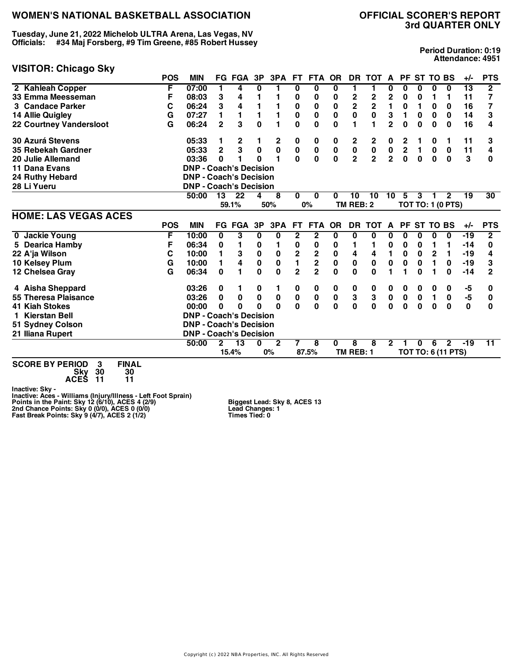**Tuesday, June 21, 2022 Michelob ULTRA Arena, Las Vegas, NV Officials: #34 Maj Forsberg, #9 Tim Greene, #85 Robert Hussey**

# **3rd QUARTER ONLY**

**Period Duration: 0:19 Attendance: 4951**

| <b>VISITOR: Chicago Sky</b>    |            |                               |                |               |              |                         |                         |               |              |                         |                         |                |                                        |             |                 |                           |       |                |
|--------------------------------|------------|-------------------------------|----------------|---------------|--------------|-------------------------|-------------------------|---------------|--------------|-------------------------|-------------------------|----------------|----------------------------------------|-------------|-----------------|---------------------------|-------|----------------|
|                                | <b>POS</b> | <b>MIN</b>                    |                | <b>FG FGA</b> | 3P           | 3PA FT                  |                         | FTA OR        |              |                         | DR TOT A                |                |                                        |             | PF ST TO BS     |                           | $+/-$ | <b>PTS</b>     |
| 2 Kahleah Copper               | F          | 07:00                         | 1              | 4             | 0            | 1                       | 0                       | 0             | 0            | 1                       | 1                       | 0              | 0                                      | 0           | 0               | $\bf{0}$                  | 13    | $\mathbf{2}$   |
| 33 Emma Meesseman              | F          | 08:03                         | 3              | 4             |              | 1                       | 0                       | 0             | 0            | 2                       | 2                       | 2              | 0                                      | 0           |                 | 1                         | 11    | 7              |
| 3 Candace Parker               | С          | 06:24                         | 3              | 4             |              | 1                       | 0                       | 0             | $\bf{0}$     | $\overline{\mathbf{2}}$ | $\overline{\mathbf{2}}$ | 1              | 0                                      | 1           | 0               | 0                         | 16    | 7              |
| 14 Allie Quigley               | G          | 07:27                         | 1              | 1             | 1            | 1                       | $\pmb{0}$               | $\mathbf 0$   | $\mathbf 0$  | $\mathbf 0$             | $\mathbf 0$             | 3              | 1                                      | $\mathbf 0$ | $\bf{0}$        | $\bf{0}$                  | 14    | 3              |
| <b>22 Courtney Vandersloot</b> | G          | 06:24                         | $\mathbf{2}$   | 3             | $\mathbf{0}$ | 1                       | 0                       | $\mathbf{0}$  | $\bf{0}$     | 1                       |                         | $\overline{2}$ | 0                                      | $\bf{0}$    | $\bf{0}$        | $\bf{0}$                  | 16    | 4              |
| <b>30 Azurá Stevens</b>        |            | 05:33                         | 1              | $\mathbf 2$   |              | 2                       | 0                       | 0             | 0            | $\mathbf 2$             | 2                       | 0              | 2                                      |             | 0               | 1                         | 11    | 3              |
| 35 Rebekah Gardner             |            | 05:33                         | $\overline{2}$ | 3             | $\pmb{0}$    | $\mathbf 0$             | $\pmb{0}$               | $\pmb{0}$     | $\pmb{0}$    | $\pmb{0}$               | $\pmb{0}$               | $\pmb{0}$      |                                        | 1           | $\pmb{0}$       | $\mathbf 0$               | 11    | 4              |
| 20 Julie Allemand              |            | 03:36                         | 0              |               | <sup>0</sup> | $\blacksquare$          | $\mathbf{0}$            | $\mathbf 0$   | $\mathbf 0$  | $\overline{\mathbf{2}}$ | $\overline{2}$          | $\overline{2}$ | $\begin{bmatrix} 2 \\ 0 \end{bmatrix}$ | $\mathbf 0$ | $\mathbf 0$     | $\mathbf{0}$              | 3     | 0              |
| 11 Dana Evans                  |            | <b>DNP - Coach's Decision</b> |                |               |              |                         |                         |               |              |                         |                         |                |                                        |             |                 |                           |       |                |
| 24 Ruthy Hebard                |            | <b>DNP - Coach's Decision</b> |                |               |              |                         |                         |               |              |                         |                         |                |                                        |             |                 |                           |       |                |
| 28 Li Yueru                    |            | <b>DNP - Coach's Decision</b> |                |               |              |                         |                         |               |              |                         |                         |                |                                        |             |                 |                           |       |                |
|                                |            | 50:00                         | 13             | 22            | 4            | 8                       | $\Omega$                | $\bf{0}$      | 0            | 10                      | 10                      | 10             | 5                                      | 3           | 1               | $\mathbf{2}$              | 19    | 30             |
|                                |            |                               |                | 59.1%         |              | 50%                     |                         | 0%            |              | TM REB: 2               |                         |                |                                        |             |                 | <b>TOT TO: 1 (0 PTS)</b>  |       |                |
| <b>HOME: LAS VEGAS ACES</b>    |            |                               |                |               |              |                         |                         |               |              |                         |                         |                |                                        |             |                 |                           |       |                |
|                                | <b>POS</b> | <b>MIN</b>                    |                | <b>FG FGA</b> | 3P           | 3PA                     | <b>FT</b>               | <b>FTA</b>    | <b>OR</b>    | <b>DR</b>               | <b>TOT</b>              | A              | <b>PF</b>                              |             | <b>ST TO BS</b> |                           | $+/-$ | <b>PTS</b>     |
| 0 Jackie Young                 | F          | 10:00                         | 0              | 3             | 0            | $\overline{\mathbf{0}}$ | $\overline{\mathbf{2}}$ | $\mathbf{2}$  | 0            | 0                       | 0                       | 0              | 0                                      | 0           | 0               | $\mathbf 0$               | -19   | $\overline{2}$ |
| 5 Dearica Hamby                | F          | 06:34                         | 0              | 1             | 0            | 1                       | 0                       | 0             | 0            | 1                       | 1                       | $\bf{0}$       | 0                                      | 0           | 1               | 1                         | $-14$ | 0              |
| 22 A'ja Wilson                 | С          | 10:00                         | 1              | 3             | $\pmb{0}$    | 0                       | 2                       |               | 0            | 4                       | 4                       | 1              | 0                                      | $\mathbf 0$ | $\mathbf 2$     | 1                         | $-19$ | 4              |
| 10 Kelsey Plum                 | G          | 10:00                         | 1              | 4             | $\pmb{0}$    | $\pmb{0}$               | $\mathbf{1}$            | $\frac{2}{2}$ | $\pmb{0}$    | $\mathbf 0$             | $\mathbf 0$             | $\mathbf 0$    | 0                                      | $\bf{0}$    | 1               | 0                         | $-19$ | 3              |
| 12 Chelsea Gray                | G          | 06:34                         | 0              | 1             | $\bf{0}$     | $\mathbf{0}$            | $\overline{2}$          |               | $\bf{0}$     | $\bf{0}$                | $\bf{0}$                |                | 1                                      | $\Omega$    |                 | $\bf{0}$                  | $-14$ | $\overline{2}$ |
| 4 Aisha Sheppard               |            | 03:26                         | 0              | 1             | 0            | 1                       | 0                       | 0             | 0            | 0                       | 0                       | 0              | 0                                      | 0           | 0               | 0                         | -5    | 0              |
| 55 Theresa Plaisance           |            | 03:26                         | 0              | 0             | $\pmb{0}$    | 0                       | $\pmb{0}$               | 0             | $\pmb{0}$    | ${\bf 3}$               | ${\bf 3}$               | $\mathbf 0$    | $\pmb{0}$                              | $\pmb{0}$   | $\mathbf{1}$    | $\pmb{0}$                 | $-5$  | 0              |
| <b>41 Kiah Stokes</b>          |            | 00:00                         | 0              | $\bf{0}$      | $\Omega$     | $\Omega$                | $\mathbf{0}$            | $\mathbf{0}$  | $\mathbf{0}$ | $\bf{0}$                | $\mathbf{0}$            | $\mathbf 0$    | $\mathbf 0$                            | $\bf{0}$    | $\mathbf 0$     | $\bf{0}$                  | 0     | 0              |
| 1 Kierstan Bell                |            | <b>DNP - Coach's Decision</b> |                |               |              |                         |                         |               |              |                         |                         |                |                                        |             |                 |                           |       |                |
| 51 Sydney Colson               |            | <b>DNP - Coach's Decision</b> |                |               |              |                         |                         |               |              |                         |                         |                |                                        |             |                 |                           |       |                |
| 21 Iliana Rupert               |            | <b>DNP - Coach's Decision</b> |                |               |              |                         |                         |               |              |                         |                         |                |                                        |             |                 |                           |       |                |
|                                |            | 50:00                         | 2              | 13            | $\bf{0}$     | $\mathbf{2}$            | 7                       | 8             | 0            | 8                       | 8                       | $\mathbf{2}$   |                                        | $\bf{0}$    | 6               | $\overline{2}$            | $-19$ | 11             |
|                                |            |                               |                | 15.4%         |              | 0%                      |                         | 87.5%         |              | TM REB: 1               |                         |                |                                        |             |                 | <b>TOT TO: 6 (11 PTS)</b> |       |                |

**SCORE BY PERIOD 3 FINAL Sky 30 30 ACES 11 11**

Inactive: Sky -<br>Inactive: Aces - Williams (Injury/Illness - Left Foot Sprain)<br>Points in the Paint: Sky 12 (6/10), ACES 4 (2/9)<br>2nd Chance Points: Sky 0 (0/0), ACES 0 (0/0)<br>Fast Break Points: Sky 9 (4/7), ACES 2 (1/2)

**Biggest Lead: Sky 8, ACES 13 Lead Changes: 1 Times Tied: 0**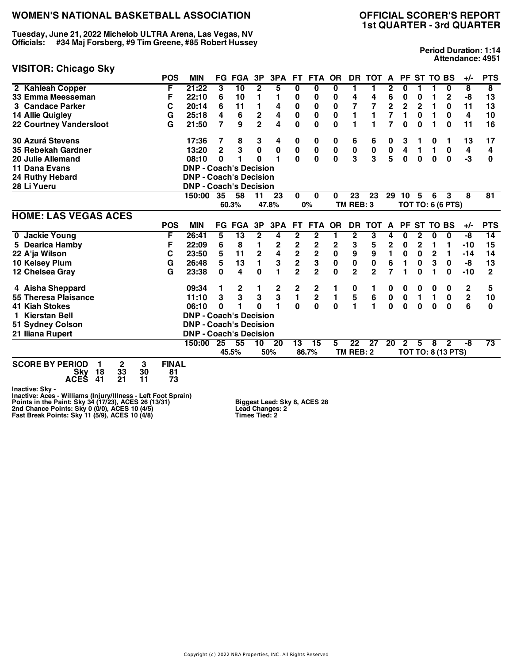**Tuesday, June 21, 2022 Michelob ULTRA Arena, Las Vegas, NV Officials: #34 Maj Forsberg, #9 Tim Greene, #85 Robert Hussey**

#### **VISITOR: Chicago Sky**

# **1st QUARTER - 3rd QUARTER**

**Period Duration: 1:14 Attendance: 4951**

|                                                  | <b>POS</b>   | <b>MIN</b>                    |                 | <b>FG FGA</b> | 3P                      | 3PA           | FT.                     | <b>FTA</b>              | <b>OR</b> | <b>DR</b>      | <b>TOT</b>     | A                       | PF             |                | <b>ST TO BS</b> |                          | $+/-$       | <b>PTS</b>              |
|--------------------------------------------------|--------------|-------------------------------|-----------------|---------------|-------------------------|---------------|-------------------------|-------------------------|-----------|----------------|----------------|-------------------------|----------------|----------------|-----------------|--------------------------|-------------|-------------------------|
| 2 Kahleah Copper                                 | F            | 21:22                         | 3               | 10            | $\mathbf{2}$            | 5             | 0                       | $\bf{0}$                | 0         | 1              | 1              | 2                       | 0              |                |                 | $\bf{0}$                 | 8           | $\overline{\mathbf{8}}$ |
| 33 Emma Meesseman                                | F            | 22:10                         | 6               | 10            |                         | 1             | 0                       | 0                       | 0         | 4              | 4              | 6                       | 0              | 0              |                 | $\mathbf 2$              | -8          | 13                      |
| 3 Candace Parker                                 | С            | 20:14                         | 6               | 11            | 1                       | 4             | 0                       | 0                       | 0         | 7              | 7              | $\overline{\mathbf{c}}$ | $\overline{2}$ | $\overline{2}$ | 1               | 0                        | 11          | 13                      |
| 14 Allie Quigley                                 | G            | 25:18                         | 4               | 6             | 2                       | 4             | 0                       | 0                       | 0         |                | 1              | 7                       | 1              | 0              | 1               | 0                        | 4           | 10                      |
| <b>22 Courtney Vandersloot</b>                   | G            | 21:50                         | 7               | 9             | $\overline{2}$          | 4             | 0                       | $\bf{0}$                | 0         | 1              | 1              | 7                       | 0              | $\bf{0}$       |                 | $\bf{0}$                 | 11          | 16                      |
| <b>30 Azurá Stevens</b>                          |              | 17:36                         | 7               | 8             | 3                       | 4             | 0                       | 0                       | 0         | 6              | 6              | 0                       | 3              | 1              | 0               | 1                        | 13          | 17                      |
| 35 Rebekah Gardner                               |              | 13:20                         | $\overline{2}$  | 3             | 0                       | 0             | $\pmb{0}$               | 0                       | 0         | $\pmb{0}$      | $\pmb{0}$      | $\pmb{0}$               | 4              | 1              | 1               | 0                        | 4           | 4                       |
| 20 Julie Allemand                                |              | 08:10                         | 0               | 1             | $\Omega$                | 1             | $\mathbf{0}$            | $\mathbf 0$             | O         | 3              | 3              | 5                       | $\bf{0}$       | $\bf{0}$       | $\bf{0}$        | 0                        | -3          | 0                       |
| 11 Dana Evans                                    |              | <b>DNP - Coach's Decision</b> |                 |               |                         |               |                         |                         |           |                |                |                         |                |                |                 |                          |             |                         |
| <b>24 Ruthy Hebard</b>                           |              | <b>DNP - Coach's Decision</b> |                 |               |                         |               |                         |                         |           |                |                |                         |                |                |                 |                          |             |                         |
| 28 Li Yueru                                      |              | <b>DNP - Coach's Decision</b> |                 |               |                         |               |                         |                         |           |                |                |                         |                |                |                 |                          |             |                         |
|                                                  |              | 150:00                        | 35              | 58            | 11                      | 23            | $\bf{0}$                | $\bf{0}$                | 0         | 23             | 23             | 29                      | 10             | 5              | 6               | 3                        | 8           | $\overline{81}$         |
|                                                  |              |                               |                 | 60.3%         |                         | 47.8%         |                         | 0%                      |           | TM REB: 3      |                |                         |                |                |                 | <b>TOT TO: 6 (6 PTS)</b> |             |                         |
| <b>HOME: LAS VEGAS ACES</b>                      |              |                               |                 |               |                         |               |                         |                         |           |                |                |                         |                |                |                 |                          |             |                         |
|                                                  | <b>POS</b>   | <b>MIN</b>                    |                 | <b>FG FGA</b> | 3P                      | 3PA           | <b>FT</b>               | <b>FTA</b>              | <b>OR</b> | <b>DR</b>      | <b>TOT</b>     | $\mathbf{A}$            | <b>PF</b>      |                | ST TO BS        |                          | $+/-$       | <b>PTS</b>              |
| 0 Jackie Young                                   | F            | 26:41                         | 5               | 13            | 2                       | 4             | $\mathbf{2}$            | $\mathbf{2}$            |           | 2              | 3              | 4                       | 0              | 2              | 0               | 0                        | -8          | 14                      |
| 5 Dearica Hamby                                  | F            | 22:09                         | 6               | 8             | 1                       | 2             | 2                       | 2                       | 2         | 3              | 5              | $\overline{\mathbf{c}}$ | 0              | $\mathbf{2}$   | 1               | 1                        | -10         | 15                      |
| 22 A'ja Wilson                                   | C            | 23:50                         | 5               | 11            | $\overline{\mathbf{c}}$ | 4             | $\overline{\mathbf{c}}$ | $\overline{\mathbf{2}}$ | $\bf{0}$  | 9              | 9              | 1                       | 0              | 0              | $\mathbf{2}$    | 1                        | $-14$       | 14                      |
| 10 Kelsey Plum                                   | G            | 26:48                         | $5\phantom{.0}$ | 13            |                         | 3             | $\overline{\mathbf{c}}$ | 3                       | 0         | 0              | 0              | 6                       |                | 0              | 3               | $\bf{0}$                 | -8          | 13                      |
| 12 Chelsea Gray                                  | G            | 23:38                         | 0               | 4             | $\bf{0}$                | 1             | $\overline{2}$          | $\overline{2}$          | 0         | $\overline{2}$ | $\overline{2}$ | 7                       | 1              | 0              |                 | 0                        | $-10$       | $\mathbf{2}$            |
| 4 Aisha Sheppard                                 |              | 09:34                         | 1               | 2             |                         |               | 2                       | 2                       |           | 0              | 1              | 0                       | 0              | 0              | 0               | 0                        | 2           | 5                       |
| 55 Theresa Plaisance                             |              | 11:10                         | 3               | 3             | 3                       | $\frac{2}{3}$ | $\mathbf{1}$            | $\overline{\mathbf{c}}$ | 1         | 5              | 6              | $\bf{0}$                | 0              | 1              | 1               | $\pmb{0}$                | $\mathbf 2$ | 10                      |
| <b>41 Kiah Stokes</b>                            |              | 06:10                         | 0               |               | U                       | 1             | $\Omega$                | $\mathbf{0}$            | $\Omega$  | 1              | $\blacksquare$ | $\bf{0}$                | $\bf{0}$       | $\bf{0}$       | $\bf{0}$        | $\Omega$                 | 6           | $\bf{0}$                |
| <b>Kierstan Bell</b>                             |              | <b>DNP - Coach's Decision</b> |                 |               |                         |               |                         |                         |           |                |                |                         |                |                |                 |                          |             |                         |
| 51 Sydney Colson                                 |              | <b>DNP - Coach's Decision</b> |                 |               |                         |               |                         |                         |           |                |                |                         |                |                |                 |                          |             |                         |
| 21 Iliana Rupert                                 |              | <b>DNP - Coach's Decision</b> |                 |               |                         |               |                         |                         |           |                |                |                         |                |                |                 |                          |             |                         |
|                                                  |              | 150:00                        | 25              | 55            | 10                      | 20            | 13                      | 15                      | 5         | 22             | 27             | 20                      | $\overline{2}$ | 5              | 8               | $\mathbf{2}$             | -8          | $\overline{73}$         |
|                                                  |              |                               |                 | 45.5%         |                         | 50%           |                         | 86.7%                   |           | TM REB: 2      |                |                         |                |                |                 | TOT TO: 8 (13 PTS)       |             |                         |
| <b>SCORE BY PERIOD</b><br>$\mathbf{2}$<br>3<br>1 | <b>FINAL</b> |                               |                 |               |                         |               |                         |                         |           |                |                |                         |                |                |                 |                          |             |                         |

| SCORE BY PERIOD 1 2 3 |              |       | <b>FINAL</b> |
|-----------------------|--------------|-------|--------------|
|                       | Sky 18 33 30 |       | -81          |
| ACES 41 21            |              | $-11$ | 73           |

Inactive: Sky -<br>Inactive: Aces - Williams (Injury/Illness - Left Foot Sprain)<br>Points in the Paint: Sky 34 (17/23), ACES 26 (13/31)<br>2nd Chance Points: Sky 0 (0/0), ACES 10 (4/5)<br>Fast Break Points: Sky 11 (5/9), ACES 10 (4/8

**Biggest Lead: Sky 8, ACES 28 Lead Changes: 2 Times Tied: 2**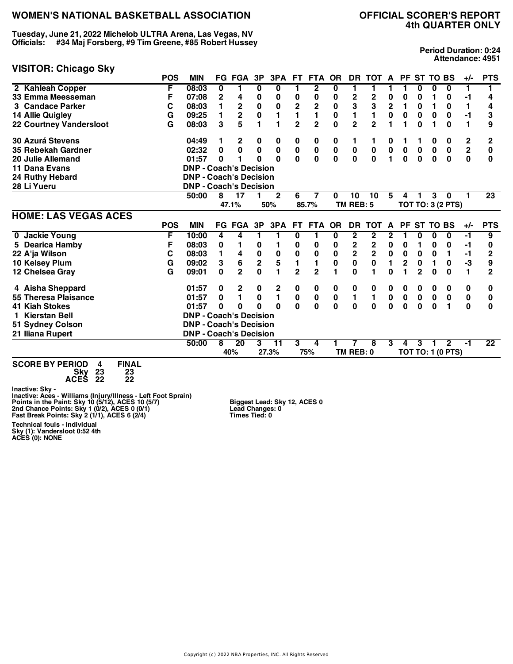**Tuesday, June 21, 2022 Michelob ULTRA Arena, Las Vegas, NV Officials: #34 Maj Forsberg, #9 Tim Greene, #85 Robert Hussey**

#### **VISITOR: Chicago Sky**

# **4th QUARTER ONLY**

**Period Duration: 0:24 Attendance: 4951**

|                             | <b>POS</b> | <b>MIN</b>                    |              | <b>FG FGA</b>  | 3P                      | 3PA            | FT.                     | <b>FTA</b>                           | <b>OR</b>    |                         | DR TOT A       |                | <b>PF</b>      | <b>ST TO BS</b> |             |                          | $+/-$         | <b>PTS</b>      |
|-----------------------------|------------|-------------------------------|--------------|----------------|-------------------------|----------------|-------------------------|--------------------------------------|--------------|-------------------------|----------------|----------------|----------------|-----------------|-------------|--------------------------|---------------|-----------------|
| 2 Kahleah Copper            | F          | 08:03                         | 0            |                | 0                       | 0              |                         | $\overline{2}$                       | 0            |                         | 1              |                |                | 0               | 0           | 0                        | 1             |                 |
| 33 Emma Meesseman           | F          | 07:08                         | $\mathbf{2}$ | 4              | 0                       | 0              | 0                       | 0                                    | 0            | 2                       | 2              | 0              | 0              | 0               |             | 0                        | $-1$          | 4               |
| 3 Candace Parker            | С          | 08:03                         | 1            | $\mathbf 2$    | $\bf{0}$                | 0              | $\overline{\mathbf{c}}$ | $\mathbf 2$                          | $\pmb{0}$    | 3                       | 3              | $\mathbf 2$    | 1              | 0               |             | 0                        | 1             | 4               |
| 14 Allie Quigley            | G          | 09:25                         | 1            | $\overline{2}$ | 0                       | 1              | 1                       | 1                                    | $\mathbf 0$  | 1                       | $\mathbf{1}$   | $\mathbf 0$    | $\mathbf 0$    | 0               | 0           | $\mathbf 0$              | $-1$          | 3               |
| 22 Courtney Vandersloot     | G          | 08:03                         | 3            | 5              | 1                       | 1              | $\overline{2}$          | $\overline{2}$                       | 0            | $\overline{2}$          | $\overline{2}$ |                | 1              | $\bf{0}$        |             | 0                        | 1             | 9               |
| <b>30 Azurá Stevens</b>     |            | 04:49                         |              | $\mathbf{2}$   | 0                       | 0              | 0                       | 0                                    | 0            | 1                       | 1              | 0              |                |                 | 0           | 0                        | 2             | 2               |
| 35 Rebekah Gardner          |            | 02:32                         | $\mathbf 0$  | $\mathbf 0$    | $\mathbf 0$             | $\pmb{0}$      | $\pmb{0}$               | $\begin{matrix} 0 \\ 0 \end{matrix}$ | $\pmb{0}$    | $\pmb{0}$               | $\pmb{0}$      | $\pmb{0}$      | $\pmb{0}$      | $\pmb{0}$       | $\pmb{0}$   | $\pmb{0}$                | $\frac{2}{0}$ | $\bf{0}$        |
| 20 Julie Allemand           |            | 01:57                         | $\bf{0}$     |                | O                       | $\Omega$       | $\mathbf 0$             |                                      | $\mathbf 0$  | $\mathbf 0$             | $\mathbf 0$    | $\blacksquare$ | $\mathbf 0$    | $\mathbf 0$     | $\mathbf 0$ | $\mathbf{0}$             |               | $\bf{0}$        |
| 11 Dana Evans               |            | <b>DNP - Coach's Decision</b> |              |                |                         |                |                         |                                      |              |                         |                |                |                |                 |             |                          |               |                 |
| 24 Ruthy Hebard             |            | <b>DNP - Coach's Decision</b> |              |                |                         |                |                         |                                      |              |                         |                |                |                |                 |             |                          |               |                 |
| 28 Li Yueru                 |            | <b>DNP - Coach's Decision</b> |              |                |                         |                |                         |                                      |              |                         |                |                |                |                 |             |                          |               |                 |
|                             |            | 50:00                         | 8            | 17             |                         | $\mathbf{2}$   | 6                       | 7                                    | $\bf{0}$     | 10                      | 10             | 5              | 4              |                 | 3           | 0                        |               | 23              |
|                             |            |                               |              | 47.1%          |                         | 50%            |                         | 85.7%                                |              | TM REB: 5               |                |                |                |                 |             | <b>TOT TO: 3 (2 PTS)</b> |               |                 |
| <b>HOME: LAS VEGAS ACES</b> |            |                               |              |                |                         |                |                         |                                      |              |                         |                |                |                |                 |             |                          |               |                 |
|                             | <b>POS</b> | <b>MIN</b>                    |              | FG FGA         | 3P                      | 3PA            | FT.                     | FTA OR                               |              | <b>DR</b>               | <b>TOT</b>     | A              | <b>PF</b>      | <b>ST TO BS</b> |             |                          | $+/-$         | <b>PTS</b>      |
| 0 Jackie Young              | F          | 10:00                         | 4            | 4              | 1                       | 1              | 0                       | 1                                    | 0            | $\mathbf{2}$            | 2              | 2              |                | O               | 0           | $\bf{0}$                 | $-1$          | $\overline{9}$  |
| 5 Dearica Hamby             | F          | 08:03                         | 0            |                | 0                       |                | 0                       | 0                                    | 0            | $\mathbf 2$             | 2              | 0              | 0              | 1               | 0           | 0                        | -1            | 0               |
| 22 A'ja Wilson              | C          | 08:03                         | 1            | 4              | $\mathbf 0$             | $\pmb{0}$      | $\mathbf 0$             | 0                                    | $\pmb{0}$    | $\overline{\mathbf{2}}$ | $\overline{2}$ | $\pmb{0}$      | $\pmb{0}$      | $\pmb{0}$       | 0           | 1                        | $-1$          | $\mathbf 2$     |
| 10 Kelsey Plum              | G          | 09:02                         | 3            | 6              | $\overline{\mathbf{2}}$ | 5              | $\blacksquare$          | 1                                    | $\bf{0}$     | $\mathbf 0$             | $\mathbf 0$    | $\blacksquare$ | $\overline{2}$ | 0               | 1           | 0                        | $-3$          | 9               |
| 12 Chelsea Gray             | G          | 09:01                         | $\mathbf 0$  | $\mathbf{2}$   | $\mathbf 0$             | 1              | $\overline{2}$          | $\overline{2}$                       |              | $\mathbf{0}$            | 1              | $\bf{0}$       | 1              | $\overline{2}$  | 0           | $\bf{0}$                 | 1             | $\overline{2}$  |
| 4 Aisha Sheppard            |            | 01:57                         | 0            | $\mathbf{2}$   | 0                       | 2              | 0                       | 0                                    | 0            | 0                       | 0              | 0              | 0              | 0               | 0           | 0                        | 0             | 0               |
| 55 Theresa Plaisance        |            | 01:57                         | $\bf{0}$     | $\mathbf{1}$   | $\mathbf 0$             | $\blacksquare$ | $\pmb{0}$               | $\pmb{0}$                            | $\pmb{0}$    | 1                       | $\blacksquare$ | $\mathbf 0$    | $\mathbf 0$    | $\pmb{0}$       | $\pmb{0}$   | $\pmb{0}$                | $\pmb{0}$     | 0               |
| <b>41 Kiah Stokes</b>       |            | 01:57                         | $\bf{0}$     | 0              | $\Omega$                | $\Omega$       | $\mathbf{0}$            | $\mathbf 0$                          | $\mathbf{0}$ | 0                       | $\mathbf 0$    | $\mathbf 0$    | $\mathbf 0$    | $\mathbf 0$     | $\mathbf 0$ | 1                        | $\mathbf{0}$  | $\bf{0}$        |
| 1 Kierstan Bell             |            | <b>DNP - Coach's Decision</b> |              |                |                         |                |                         |                                      |              |                         |                |                |                |                 |             |                          |               |                 |
| 51 Sydney Colson            |            | <b>DNP - Coach's Decision</b> |              |                |                         |                |                         |                                      |              |                         |                |                |                |                 |             |                          |               |                 |
| 21 Iliana Rupert            |            | <b>DNP - Coach's Decision</b> |              |                |                         |                |                         |                                      |              |                         |                |                |                |                 |             |                          |               |                 |
|                             |            | 50:00                         | 8            | 20             | 3                       | 11             | 3                       | 4                                    |              | 7                       | 8              | 3              | 4              | 3               |             | $\mathbf{2}$             | $-1$          | $\overline{22}$ |
|                             |            |                               |              | 40%            |                         | 27.3%          |                         | 75%                                  |              | TM REB: 0               |                |                |                |                 |             | <b>TOT TO: 1 (0 PTS)</b> |               |                 |
| .                           |            |                               |              |                |                         |                |                         |                                      |              |                         |                |                |                |                 |             |                          |               |                 |

**SCORE BY PERIOD 4 FINAL Sky 23 23 ACES 22 22**

Inactive: Sky -<br>Inactive: Aces - Williams (Injury/Illness - Left Foot Sprain)<br>Points in the Paint: Sky 10 (5/12), ACES 10 (5/7)<br>2nd Chance Points: Sky 1 (0/2), ACES 0 (0/1)<br>Fast Break Points: Sky 2 (1/1), ACES 6 (2/4)

**Technical fouls - Individual Sky (1): Vandersloot 0:52 4th ACES (0): NONE** **Biggest Lead: Sky 12, ACES 0 Lead Changes: 0 Times Tied: 0**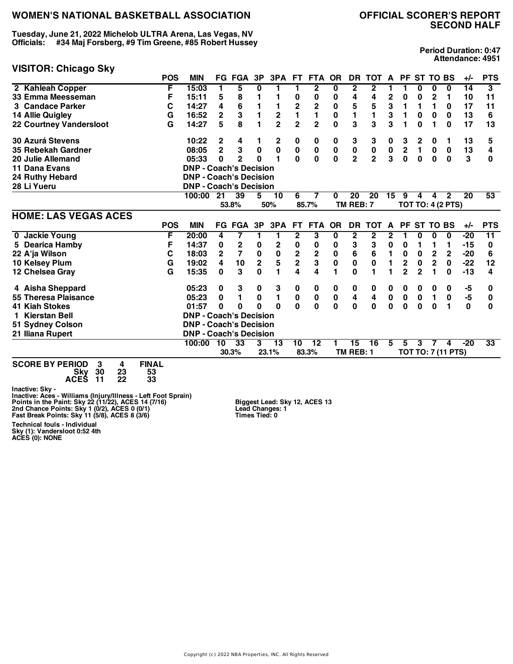**Tuesday, June 21, 2022 Michelob ULTRA Arena, Las Vegas, NV Officials: #34 Maj Forsberg, #9 Tim Greene, #85 Robert Hussey**

#### **VISITOR: Chicago Sky**

**Period Duration: 0:47 Attendance: 4951**

| , , , , , , , ,<br>-- 9 - - - <i>1</i> | <b>POS</b>   | <b>MIN</b>                    |                         | <b>FG FGA</b>    | 3P           | 3PA            | FT.            | <b>FTA</b>                           | <b>OR</b>    | <b>DR</b>       | <b>TOT</b>      | A              | <b>PF</b>        |                | <b>ST TO BS</b> |                          | $+/-$ | <b>PTS</b> |
|----------------------------------------|--------------|-------------------------------|-------------------------|------------------|--------------|----------------|----------------|--------------------------------------|--------------|-----------------|-----------------|----------------|------------------|----------------|-----------------|--------------------------|-------|------------|
| 2 Kahleah Copper                       | F            | 15:03                         |                         | 5                | 0            | 1              | 1              | $\mathbf{2}$                         | 0            | $\mathbf{2}$    | 2               |                |                  | 0              | 0               | 0                        | 14    | 3          |
| 33 Emma Meesseman                      | F            | 15:11                         | 5                       | 8                | 1            |                | 0              | 0                                    | 0            | 4               | 4               | $\mathbf 2$    | 0                | 0              | 2               | 1                        | 10    | 11         |
| 3 Candace Parker                       | C            | 14:27                         | 4                       | 6                | 1            |                | 2<br>1         | $\overline{\mathbf{c}}$              | 0            | 5               | 5               | 3              | 1                | 1              | 1               | 0                        | 17    | 11         |
| 14 Allie Quigley                       | G            | 16:52                         | $\overline{\mathbf{c}}$ | 3                | 1            | 2              |                | $\mathbf{1}$                         | $\pmb{0}$    | 1               | $\blacksquare$  | 3              | 1                | 0              | $\bf{0}$        | 0                        | 13    | 6          |
| <b>22 Courtney Vandersloot</b>         | G            | 14:27                         | 5                       | 8                | 1            | $\overline{2}$ | $\overline{2}$ | $\overline{2}$                       | $\mathbf{0}$ | 3               | 3               | 3              |                  | 0              |                 | 0                        | 17    | 13         |
| <b>30 Azurá Stevens</b>                |              | 10:22                         | $\mathbf{2}$            | 4                |              | 2              | 0              | 0                                    | 0            | 3               | 3               | 0              | 3                | 2              | 0               | 1                        | 13    | 5          |
| 35 Rebekah Gardner                     |              | 08:05                         | $\overline{2}$          | 3                | $\mathbf 0$  | $\pmb{0}$      | $\pmb{0}$      | $\begin{matrix} 0 \\ 0 \end{matrix}$ | $\pmb{0}$    | $\pmb{0}$       | $\frac{0}{2}$   | $\frac{0}{3}$  | $\boldsymbol{2}$ | 1              | $\mathbf 0$     | $\bf{0}$                 | 13    | 4          |
| 20 Julie Allemand                      |              | 05:33                         | 0                       | $\mathbf{2}$     | $\bf{0}$     | 1              | $\mathbf{0}$   |                                      | $\mathbf 0$  | $\overline{2}$  |                 |                | $\mathbf 0$      | $\mathbf 0$    | $\bf{0}$        | $\mathbf 0$              | 3     | 0          |
| 11 Dana Evans                          |              | <b>DNP - Coach's Decision</b> |                         |                  |              |                |                |                                      |              |                 |                 |                |                  |                |                 |                          |       |            |
| 24 Ruthy Hebard                        |              | <b>DNP - Coach's Decision</b> |                         |                  |              |                |                |                                      |              |                 |                 |                |                  |                |                 |                          |       |            |
| 28 Li Yueru                            |              | <b>DNP - Coach's Decision</b> |                         |                  |              |                |                |                                      |              |                 |                 |                |                  |                |                 |                          |       |            |
|                                        |              | 100:00                        | 21                      | 39               | 5            | 10             | 6              | 7                                    | 0            | $\overline{20}$ | $\overline{20}$ | 15             | 9                | 4              | 4               | $\overline{2}$           | 20    | 53         |
|                                        |              |                               |                         | 53.8%            |              | 50%            |                | 85.7%                                |              | TM REB: 7       |                 |                |                  |                |                 | <b>TOT TO: 4 (2 PTS)</b> |       |            |
| <b>HOME: LAS VEGAS ACES</b>            |              |                               |                         |                  |              |                |                |                                      |              |                 |                 |                |                  |                |                 |                          |       |            |
|                                        | <b>POS</b>   | <b>MIN</b>                    |                         | <b>FG FGA</b>    | 3P           | 3PA            | FT.            | <b>FTA</b>                           | <b>OR</b>    | <b>DR</b>       | <b>TOT</b>      | A              | <b>PF</b>        |                | <b>ST TO BS</b> |                          | $+/-$ | <b>PTS</b> |
| 0 Jackie Young                         | F            | 20:00                         | 4                       | 7                | 1            | 1              | $\overline{2}$ | 3                                    | $\bf{0}$     | $\overline{2}$  | $\overline{2}$  | $\overline{2}$ |                  | 0              | $\bf{0}$        | 0                        | $-20$ | 11         |
| 5 Dearica Hamby                        | F            | 14:37                         | 0                       | $\boldsymbol{2}$ | 0            | 2              | 0              | 0                                    | 0            | 3               | 3               | 0              | 0                | 1              | 1               | 1                        | -15   | 0          |
| 22 A'ja Wilson                         | С            | 18:03                         | $\mathbf{2}$            | $\overline{7}$   | $\pmb{0}$    | $\mathbf 0$    | $\frac{2}{2}$  | $\mathbf 2$                          | 0            | 6               | 6               | 1              | 0                | 0              | 2               | $\mathbf 2$              | $-20$ | 6          |
| 10 Kelsey Plum                         | G            | 19:02                         | 4                       | 10               | $\mathbf 2$  | 5              |                | 3                                    | 0            | 0               | 0               | $\mathbf{1}$   | $\mathbf 2$      | $\bf{0}$       | $\mathbf 2$     | 0                        | $-22$ | 12         |
| 12 Chelsea Gray                        | G            | 15:35                         | $\bf{0}$                | 3                | $\mathbf{0}$ | 1              | 4              | 4                                    | 1            | $\bf{0}$        | 1               |                | $\overline{2}$   | $\overline{2}$ |                 | $\bf{0}$                 | $-13$ | 4          |
| 4 Aisha Sheppard                       |              | 05:23                         | 0                       | 3                | 0            | 3              | 0              | 0                                    | 0            | 0               | 0               | 0              | 0                | 0              | 0               | 0                        | -5    | 0          |
| 55 Theresa Plaisance                   |              | 05:23                         | 0                       | 1                | $\pmb{0}$    | 1              | $\bf{0}$       | $\pmb{0}$                            | $\pmb{0}$    | 4               | 4               | $\pmb{0}$      | $\pmb{0}$        | $\pmb{0}$      | 1               | $\mathbf 0$              | $-5$  | 0          |
| <b>41 Kiah Stokes</b>                  |              | 01:57                         | 0                       | 0                | $\Omega$     | O              | $\mathbf 0$    | $\mathbf 0$                          | 0            | $\mathbf 0$     | 0               | 0              | 0                | 0              | $\bf{0}$        | 1                        | 0     | 0          |
| Kierstan Bell                          |              | <b>DNP - Coach's Decision</b> |                         |                  |              |                |                |                                      |              |                 |                 |                |                  |                |                 |                          |       |            |
| 51 Sydney Colson                       |              | <b>DNP - Coach's Decision</b> |                         |                  |              |                |                |                                      |              |                 |                 |                |                  |                |                 |                          |       |            |
| 21 Iliana Rupert                       |              | <b>DNP - Coach's Decision</b> |                         |                  |              |                |                |                                      |              |                 |                 |                |                  |                |                 |                          |       |            |
|                                        |              | 100:00                        | 10                      | 33               | 3            | 13             | 10             | 12                                   |              | 15              | 16              | 5              | 5                | 3              | 7               | 4                        | $-20$ | 33         |
|                                        |              |                               |                         | 30.3%            |              | 23.1%          |                | 83.3%                                |              | TM REB: 1       |                 |                |                  |                |                 | TOT TO: 7 (11 PTS)       |       |            |
| SCORE BY PERIOD<br>3<br>4              | <b>FINAI</b> |                               |                         |                  |              |                |                |                                      |              |                 |                 |                |                  |                |                 |                          |       |            |

**SCORE BY PERIOD 3 4 FINAL Sky 30 23 53 ACES 11 22 33**

Inactive: Sky -<br>Inactive: Aces - Williams (Injury/Illness - Left Foot Sprain)<br>Points in the Paint: Sky 22 (11/22), ACES 14 (7/16)<br>2nd Chance Points: Sky 1 (0/2), ACES 0 (0/1)<br>Fast Break Points: Sky 11 (5/8), ACES 8 (3/6)

**Biggest Lead: Sky 12, ACES 13 Lead Changes: 1 Times Tied: 0**

**Technical fouls - Individual Sky (1): Vandersloot 0:52 4th ACES (0): NONE**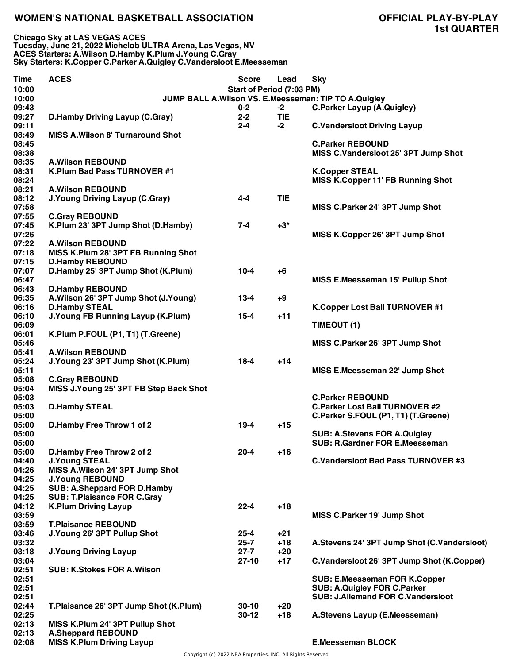**Chicago Sky at LAS VEGAS ACES Tuesday, June 21, 2022 Michelob ULTRA Arena, Las Vegas, NV ACES Starters: A.Wilson D.Hamby K.Plum J.Young C.Gray Sky Starters: K.Copper C.Parker A.Quigley C.Vandersloot E.Meesseman**

| <b>Time</b>    | <b>ACES</b>                              | <b>Score</b>              | Lead       | <b>Sky</b>                                              |
|----------------|------------------------------------------|---------------------------|------------|---------------------------------------------------------|
| 10:00          |                                          | Start of Period (7:03 PM) |            |                                                         |
| 10:00          |                                          |                           |            | JUMP BALL A. Wilson VS. E. Meesseman: TIP TO A. Quigley |
| 09:43          |                                          | $0 - 2$                   | $-2$       | <b>C.Parker Layup (A.Quigley)</b>                       |
| 09:27          | <b>D.Hamby Driving Layup (C.Gray)</b>    | $2 - 2$                   | <b>TIE</b> |                                                         |
| 09:11          |                                          | $2 - 4$                   | $-2$       | <b>C.Vandersloot Driving Layup</b>                      |
| 08:49          | <b>MISS A. Wilson 8' Turnaround Shot</b> |                           |            |                                                         |
| 08:45          |                                          |                           |            | <b>C.Parker REBOUND</b>                                 |
| 08:38          |                                          |                           |            | MISS C.Vandersloot 25' 3PT Jump Shot                    |
| 08:35          | <b>A.Wilson REBOUND</b>                  |                           |            |                                                         |
| 08:31          | K.Plum Bad Pass TURNOVER #1              |                           |            | <b>K.Copper STEAL</b>                                   |
| 08:24          |                                          |                           |            | MISS K.Copper 11' FB Running Shot                       |
| 08:21          | <b>A.Wilson REBOUND</b>                  |                           |            |                                                         |
| 08:12          | <b>J.Young Driving Layup (C.Gray)</b>    | $4 - 4$                   | <b>TIE</b> |                                                         |
| 07:58          |                                          |                           |            | MISS C.Parker 24' 3PT Jump Shot                         |
| 07:55          | <b>C.Gray REBOUND</b>                    |                           |            |                                                         |
| 07:45          | K.Plum 23' 3PT Jump Shot (D.Hamby)       | $7 - 4$                   | $+3^*$     |                                                         |
| 07:26          |                                          |                           |            | MISS K.Copper 26' 3PT Jump Shot                         |
| 07:22          | <b>A.Wilson REBOUND</b>                  |                           |            |                                                         |
| 07:18          | MISS K.Plum 28' 3PT FB Running Shot      |                           |            |                                                         |
| 07:15          | <b>D.Hamby REBOUND</b>                   |                           |            |                                                         |
| 07:07          | D.Hamby 25' 3PT Jump Shot (K.Plum)       | $10 - 4$                  | $+6$       |                                                         |
| 06:47          |                                          |                           |            | MISS E.Meesseman 15' Pullup Shot                        |
| 06:43          | <b>D.Hamby REBOUND</b>                   |                           |            |                                                         |
| 06:35          | A.Wilson 26' 3PT Jump Shot (J.Young)     | $13 - 4$                  | $+9$       |                                                         |
| 06:16          | <b>D.Hamby STEAL</b>                     |                           |            | K.Copper Lost Ball TURNOVER #1                          |
| 06:10          | <b>J.Young FB Running Layup (K.Plum)</b> | $15 - 4$                  | $+11$      |                                                         |
| 06:09          |                                          |                           |            | TIMEOUT (1)                                             |
| 06:01          | K.Plum P.FOUL (P1, T1) (T.Greene)        |                           |            |                                                         |
| 05:46          |                                          |                           |            |                                                         |
|                |                                          |                           |            | MISS C.Parker 26' 3PT Jump Shot                         |
| 05:41<br>05:24 | <b>A.Wilson REBOUND</b>                  | $18 - 4$                  | $+14$      |                                                         |
| 05:11          | J. Young 23' 3PT Jump Shot (K. Plum)     |                           |            |                                                         |
|                |                                          |                           |            | MISS E.Meesseman 22' Jump Shot                          |
| 05:08          | <b>C.Gray REBOUND</b>                    |                           |            |                                                         |
| 05:04          | MISS J.Young 25' 3PT FB Step Back Shot   |                           |            |                                                         |
| 05:03          |                                          |                           |            | <b>C.Parker REBOUND</b>                                 |
| 05:03          | <b>D.Hamby STEAL</b>                     |                           |            | <b>C.Parker Lost Ball TURNOVER #2</b>                   |
| 05:00          |                                          |                           |            | C.Parker S.FOUL (P1, T1) (T.Greene)                     |
| 05:00          | D.Hamby Free Throw 1 of 2                | $19-4$                    | $+15$      |                                                         |
| 05:00          |                                          |                           |            | <b>SUB: A.Stevens FOR A.Quigley</b>                     |
| 05:00          |                                          |                           |            | <b>SUB: R.Gardner FOR E.Meesseman</b>                   |
| 05:00          | D.Hamby Free Throw 2 of 2                | $20 - 4$                  | $+16$      |                                                         |
| 04:40          | <b>J.Young STEAL</b>                     |                           |            | <b>C.Vandersloot Bad Pass TURNOVER #3</b>               |
| 04:26          | MISS A. Wilson 24' 3PT Jump Shot         |                           |            |                                                         |
| 04:25          | <b>J.Young REBOUND</b>                   |                           |            |                                                         |
| 04:25          | SUB: A.Sheppard FOR D.Hamby              |                           |            |                                                         |
| 04:25          | <b>SUB: T.Plaisance FOR C.Gray</b>       |                           |            |                                                         |
| 04:12          | <b>K.Plum Driving Layup</b>              | $22 - 4$                  | $+18$      |                                                         |
| 03:59          |                                          |                           |            | MISS C.Parker 19' Jump Shot                             |
| 03:59          | <b>T.Plaisance REBOUND</b>               |                           |            |                                                         |
| 03:46          | J.Young 26' 3PT Pullup Shot              | $25 - 4$                  | +21        |                                                         |
| 03:32          |                                          | $25 - 7$                  | $+18$      | A.Stevens 24' 3PT Jump Shot (C.Vandersloot)             |
| 03:18          | <b>J.Young Driving Layup</b>             | $27 - 7$                  | $+20$      |                                                         |
| 03:04          |                                          | $27-10$                   | $+17$      | C.Vandersloot 26' 3PT Jump Shot (K.Copper)              |
| 02:51          | <b>SUB: K.Stokes FOR A.Wilson</b>        |                           |            |                                                         |
| 02:51          |                                          |                           |            | <b>SUB: E.Meesseman FOR K.Copper</b>                    |
| 02:51          |                                          |                           |            | <b>SUB: A.Quigley FOR C.Parker</b>                      |
| 02:51          |                                          |                           |            | <b>SUB: J.Allemand FOR C.Vandersloot</b>                |
| 02:44          | T.Plaisance 26' 3PT Jump Shot (K.Plum)   | $30 - 10$                 | $+20$      |                                                         |
| 02:25          |                                          | $30-12$                   | $+18$      | A.Stevens Layup (E.Meesseman)                           |
| 02:13          | MISS K.Plum 24' 3PT Pullup Shot          |                           |            |                                                         |
| 02:13          | <b>A.Sheppard REBOUND</b>                |                           |            |                                                         |
| 02:08          | <b>MISS K.Plum Driving Layup</b>         |                           |            | <b>E.Meesseman BLOCK</b>                                |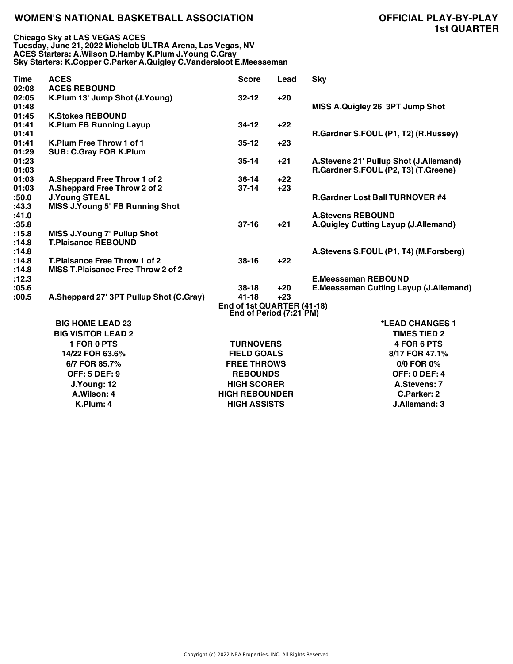**Chicago Sky at LAS VEGAS ACES Tuesday, June 21, 2022 Michelob ULTRA Arena, Las Vegas, NV ACES Starters: A.Wilson D.Hamby K.Plum J.Young C.Gray Sky Starters: K.Copper C.Parker A.Quigley C.Vandersloot E.Meesseman**

| <b>Time</b>    | <b>ACES</b>                               | <b>Score</b>                                          | Lead  | <b>Sky</b>                               |
|----------------|-------------------------------------------|-------------------------------------------------------|-------|------------------------------------------|
| 02:08          | <b>ACES REBOUND</b>                       |                                                       |       |                                          |
| 02:05          | K.Plum 13' Jump Shot (J.Young)            | $32 - 12$                                             | $+20$ |                                          |
| 01:48          |                                           |                                                       |       | MISS A.Quigley 26' 3PT Jump Shot         |
| 01:45          | <b>K.Stokes REBOUND</b>                   |                                                       |       |                                          |
| 01:41          | <b>K.Plum FB Running Layup</b>            | $34-12$                                               | $+22$ |                                          |
| 01:41          |                                           |                                                       |       | R.Gardner S.FOUL (P1, T2) (R.Hussey)     |
| 01:41          | K.Plum Free Throw 1 of 1                  | $35 - 12$                                             | $+23$ |                                          |
| 01:29          | <b>SUB: C.Gray FOR K.Plum</b>             |                                                       |       |                                          |
| 01:23          |                                           | $35 - 14$                                             | $+21$ | A.Stevens 21' Pullup Shot (J.Allemand)   |
| 01:03          |                                           |                                                       |       | R.Gardner S.FOUL (P2, T3) (T.Greene)     |
| 01:03          | A.Sheppard Free Throw 1 of 2              | $36 - 14$                                             | $+22$ |                                          |
| 01:03          | A.Sheppard Free Throw 2 of 2              | $37-14$                                               | $+23$ |                                          |
| :50.0          | <b>J.Young STEAL</b>                      |                                                       |       | <b>R.Gardner Lost Ball TURNOVER #4</b>   |
| :43.3<br>:41.0 | <b>MISS J.Young 5' FB Running Shot</b>    |                                                       |       | <b>A.Stevens REBOUND</b>                 |
| :35.8          |                                           | $37 - 16$                                             | $+21$ | A.Quigley Cutting Layup (J.Allemand)     |
| :15.8          | <b>MISS J.Young 7' Pullup Shot</b>        |                                                       |       |                                          |
| :14.8          | <b>T.Plaisance REBOUND</b>                |                                                       |       |                                          |
| :14.8          |                                           |                                                       |       | A. Stevens S.FOUL (P1, T4) (M. Forsberg) |
| :14.8          | <b>T.Plaisance Free Throw 1 of 2</b>      | $38-16$                                               | $+22$ |                                          |
| :14.8          | <b>MISS T.Plaisance Free Throw 2 of 2</b> |                                                       |       |                                          |
| :12.3          |                                           |                                                       |       | <b>E.Meesseman REBOUND</b>               |
| :05.6          |                                           | $38-18$                                               | $+20$ | E.Meesseman Cutting Layup (J.Allemand)   |
| :00.5          | A.Sheppard 27' 3PT Pullup Shot (C.Gray)   | $41 - 18$                                             | $+23$ |                                          |
|                |                                           | End of 1st QUARTER (41-18)<br>End of Period (7:21 PM) |       |                                          |
|                | <b>BIG HOME LEAD 23</b>                   |                                                       |       | *LEAD CHANGES 1                          |
|                | <b>BIG VISITOR LEAD 2</b>                 |                                                       |       | <b>TIMES TIED 2</b>                      |
|                | <b>1 FOR 0 PTS</b>                        | <b>TURNOVERS</b>                                      |       | 4 FOR 6 PTS                              |
|                | 14/22 FOR 63.6%                           | <b>FIELD GOALS</b>                                    |       | 8/17 FOR 47.1%                           |
|                | 6/7 FOR 85.7%                             | <b>FREE THROWS</b>                                    |       | 0/0 FOR 0%                               |
|                | <b>OFF: 5 DEF: 9</b>                      | <b>REBOUNDS</b>                                       |       | <b>OFF: 0 DEF: 4</b>                     |
|                | J.Young: 12                               | <b>HIGH SCORER</b>                                    |       | A.Stevens: 7                             |
|                | A.Wilson: 4                               |                                                       |       |                                          |
|                |                                           | <b>HIGH REBOUNDER</b>                                 |       | C.Parker: 2                              |
|                | K.Plum: 4                                 | <b>HIGH ASSISTS</b>                                   |       | J.Allemand: 3                            |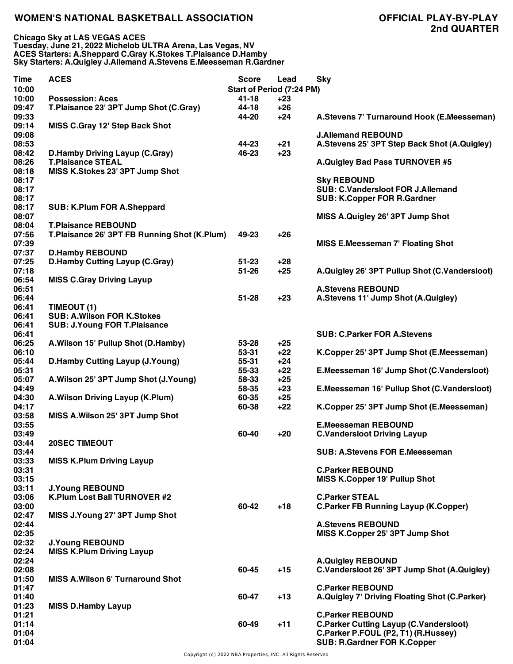| <b>Time</b><br>10:00 | <b>ACES</b>                                  | <b>Score</b> | Lead<br><b>Start of Period (7:24 PM)</b> | <b>Sky</b>                                    |
|----------------------|----------------------------------------------|--------------|------------------------------------------|-----------------------------------------------|
| 10:00                | <b>Possession: Aces</b>                      | $41 - 18$    | $+23$                                    |                                               |
| 09:47                | T.Plaisance 23' 3PT Jump Shot (C.Gray)       | 44-18        | $+26$                                    |                                               |
| 09:33                |                                              | 44-20        | $+24$                                    | A.Stevens 7' Turnaround Hook (E.Meesseman)    |
| 09:14                | MISS C.Gray 12' Step Back Shot               |              |                                          |                                               |
| 09:08                |                                              |              |                                          | <b>J.Allemand REBOUND</b>                     |
| 08:53                |                                              | 44-23        | $+21$                                    | A.Stevens 25' 3PT Step Back Shot (A.Quigley)  |
| 08:42                | <b>D.Hamby Driving Layup (C.Gray)</b>        | 46-23        | $+23$                                    |                                               |
| 08:26                | <b>T.Plaisance STEAL</b>                     |              |                                          | A.Quigley Bad Pass TURNOVER #5                |
| 08:18                | MISS K.Stokes 23' 3PT Jump Shot              |              |                                          |                                               |
|                      |                                              |              |                                          |                                               |
| 08:17                |                                              |              |                                          | <b>Sky REBOUND</b>                            |
| 08:17                |                                              |              |                                          | <b>SUB: C.Vandersloot FOR J.Allemand</b>      |
| 08:17                |                                              |              |                                          | <b>SUB: K.Copper FOR R.Gardner</b>            |
| 08:17                | <b>SUB: K.Plum FOR A.Sheppard</b>            |              |                                          |                                               |
| 08:07                |                                              |              |                                          | MISS A.Quigley 26' 3PT Jump Shot              |
| 08:04                | <b>T.Plaisance REBOUND</b>                   |              |                                          |                                               |
| 07:56                | T.Plaisance 26' 3PT FB Running Shot (K.Plum) | 49-23        | $+26$                                    |                                               |
| 07:39                |                                              |              |                                          | <b>MISS E.Meesseman 7' Floating Shot</b>      |
| 07:37                | <b>D.Hamby REBOUND</b>                       |              |                                          |                                               |
| 07:25                | <b>D.Hamby Cutting Layup (C.Gray)</b>        | $51 - 23$    | $+28$                                    |                                               |
| 07:18                |                                              | $51 - 26$    | $+25$                                    | A.Quigley 26' 3PT Pullup Shot (C.Vandersloot) |
| 06:54                | <b>MISS C.Gray Driving Layup</b>             |              |                                          |                                               |
| 06:51                |                                              |              |                                          | <b>A.Stevens REBOUND</b>                      |
|                      |                                              |              |                                          |                                               |
| 06:44                |                                              | $51 - 28$    | $+23$                                    | A.Stevens 11' Jump Shot (A.Quigley)           |
| 06:41                | TIMEOUT (1)                                  |              |                                          |                                               |
| 06:41                | <b>SUB: A.Wilson FOR K.Stokes</b>            |              |                                          |                                               |
| 06:41                | <b>SUB: J.Young FOR T.Plaisance</b>          |              |                                          |                                               |
| 06:41                |                                              |              |                                          | <b>SUB: C.Parker FOR A.Stevens</b>            |
| 06:25                | A. Wilson 15' Pullup Shot (D. Hamby)         | 53-28        | $+25$                                    |                                               |
| 06:10                |                                              | 53-31        | $+22$                                    | K.Copper 25' 3PT Jump Shot (E.Meesseman)      |
| 05:44                | <b>D.Hamby Cutting Layup (J.Young)</b>       | 55-31        | $+24$                                    |                                               |
| 05:31                |                                              | 55-33        | $+22$                                    | E.Meesseman 16' Jump Shot (C.Vandersloot)     |
| 05:07                | A.Wilson 25' 3PT Jump Shot (J.Young)         | 58-33        | $+25$                                    |                                               |
| 04:49                |                                              | 58-35        | $+23$                                    | E.Meesseman 16' Pullup Shot (C.Vandersloot)   |
| 04:30                | A. Wilson Driving Layup (K. Plum)            | 60-35        | $+25$                                    |                                               |
| 04:17                |                                              | 60-38        | $+22$                                    | K.Copper 25' 3PT Jump Shot (E.Meesseman)      |
| 03:58                | MISS A.Wilson 25' 3PT Jump Shot              |              |                                          |                                               |
| 03:55                |                                              |              |                                          | <b>E.Meesseman REBOUND</b>                    |
| 03:49                |                                              | 60-40        | $+20$                                    | <b>C.Vandersloot Driving Layup</b>            |
|                      |                                              |              |                                          |                                               |
| 03:44                | <b>20SEC TIMEOUT</b>                         |              |                                          |                                               |
| 03:44                |                                              |              |                                          | <b>SUB: A.Stevens FOR E.Meesseman</b>         |
| 03:33                | <b>MISS K.Plum Driving Layup</b>             |              |                                          |                                               |
| 03:31                |                                              |              |                                          | <b>C.Parker REBOUND</b>                       |
| 03:15                |                                              |              |                                          | <b>MISS K.Copper 19' Pullup Shot</b>          |
| 03:11                | <b>J.Young REBOUND</b>                       |              |                                          |                                               |
| 03:06                | K.Plum Lost Ball TURNOVER #2                 |              |                                          | <b>C.Parker STEAL</b>                         |
| 03:00                |                                              | 60-42        | $+18$                                    | <b>C.Parker FB Running Layup (K.Copper)</b>   |
| 02:47                | MISS J.Young 27' 3PT Jump Shot               |              |                                          |                                               |
| 02:44                |                                              |              |                                          | <b>A.Stevens REBOUND</b>                      |
| 02:35                |                                              |              |                                          | MISS K.Copper 25' 3PT Jump Shot               |
| 02:32                | <b>J.Young REBOUND</b>                       |              |                                          |                                               |
| 02:24                | <b>MISS K.Plum Driving Layup</b>             |              |                                          |                                               |
| 02:24                |                                              |              |                                          | <b>A.Quigley REBOUND</b>                      |
| 02:08                |                                              | 60-45        | $+15$                                    | C.Vandersloot 26' 3PT Jump Shot (A.Quigley)   |
| 01:50                | <b>MISS A. Wilson 6' Turnaround Shot</b>     |              |                                          |                                               |
|                      |                                              |              |                                          |                                               |
| 01:47                |                                              |              |                                          | <b>C.Parker REBOUND</b>                       |
| 01:40                |                                              | 60-47        | $+13$                                    | A.Quigley 7' Driving Floating Shot (C.Parker) |
| 01:23                | <b>MISS D.Hamby Layup</b>                    |              |                                          |                                               |
| 01:21                |                                              |              |                                          | <b>C.Parker REBOUND</b>                       |
| 01:14                |                                              | 60-49        | $+11$                                    | <b>C.Parker Cutting Layup (C.Vandersloot)</b> |
| 01:04                |                                              |              |                                          | C.Parker P.FOUL (P2, T1) (R.Hussey)           |
| 01:04                |                                              |              |                                          | <b>SUB: R.Gardner FOR K.Copper</b>            |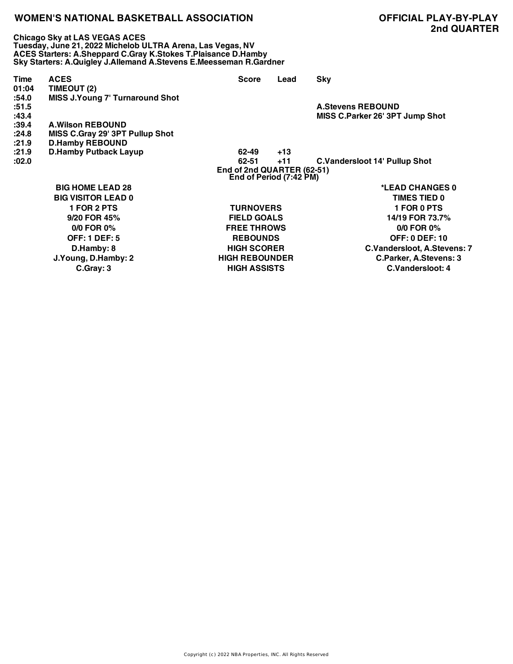**Chicago Sky at LAS VEGAS ACES Tuesday, June 21, 2022 Michelob ULTRA Arena, Las Vegas, NV ACES Starters: A.Sheppard C.Gray K.Stokes T.Plaisance D.Hamby Sky Starters: A.Quigley J.Allemand A.Stevens E.Meesseman R.Gardner**

| <b>Time</b><br>01:04<br>:54.0 | <b>ACES</b><br>TIMEOUT (2)<br><b>MISS J.Young 7' Turnaround Shot</b> | <b>Score</b>          | Lead  | <b>Sky</b>                           |  |  |  |
|-------------------------------|----------------------------------------------------------------------|-----------------------|-------|--------------------------------------|--|--|--|
| :51.5                         |                                                                      |                       |       | <b>A.Stevens REBOUND</b>             |  |  |  |
| :43.4                         |                                                                      |                       |       | MISS C.Parker 26' 3PT Jump Shot      |  |  |  |
| :39.4                         | <b>A.Wilson REBOUND</b>                                              |                       |       |                                      |  |  |  |
| :24.8                         | MISS C.Gray 29' 3PT Pullup Shot                                      |                       |       |                                      |  |  |  |
| :21.9                         | <b>D.Hamby REBOUND</b>                                               |                       |       |                                      |  |  |  |
| :21.9                         | <b>D.Hamby Putback Layup</b>                                         | 62-49                 | $+13$ |                                      |  |  |  |
| :02.0                         |                                                                      | 62-51                 | $+11$ | <b>C.Vandersloot 14' Pullup Shot</b> |  |  |  |
|                               | End of 2nd QUARTER (62-51)<br>End of Period (7:42 PM)                |                       |       |                                      |  |  |  |
|                               | <b>BIG HOME LEAD 28</b>                                              |                       |       | *LEAD CHANGES 0                      |  |  |  |
|                               | <b>BIG VISITOR LEAD 0</b>                                            |                       |       | TIMES TIED 0                         |  |  |  |
|                               | <b>1 FOR 2 PTS</b>                                                   | <b>TURNOVERS</b>      |       | <b>1 FOR 0 PTS</b>                   |  |  |  |
|                               | 9/20 FOR 45%                                                         | <b>FIELD GOALS</b>    |       | 14/19 FOR 73.7%                      |  |  |  |
|                               | $0/0$ FOR $0\%$                                                      | <b>FREE THROWS</b>    |       | $0/0$ FOR $0\%$                      |  |  |  |
|                               | <b>OFF: 1 DEF: 5</b>                                                 | <b>REBOUNDS</b>       |       | <b>OFF: 0 DEF: 10</b>                |  |  |  |
|                               | D.Hamby: 8                                                           | <b>HIGH SCORER</b>    |       | C.Vandersloot, A.Stevens: 7          |  |  |  |
|                               | J.Young, D.Hamby: 2                                                  | <b>HIGH REBOUNDER</b> |       | C.Parker, A.Stevens: 3               |  |  |  |
|                               | C.Gray: 3                                                            | <b>HIGH ASSISTS</b>   |       | C.Vandersloot: 4                     |  |  |  |

Copyright (c) 2022 NBA Properties, INC. All Rights Reserved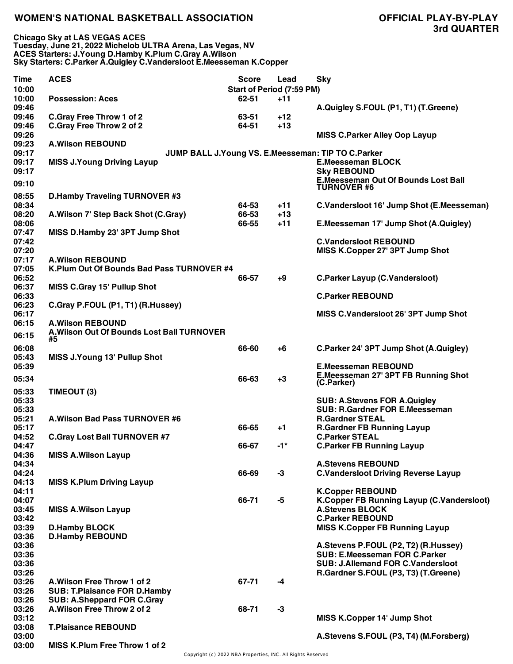**Chicago Sky at LAS VEGAS ACES Tuesday, June 21, 2022 Michelob ULTRA Arena, Las Vegas, NV ACES Starters: J.Young D.Hamby K.Plum C.Gray A.Wilson Sky Starters: C.Parker A.Quigley C.Vandersloot E.Meesseman K.Copper**

| <b>Time</b><br>10:00             | <b>ACES</b>                                                                                             | <b>Score</b><br><b>Start of Period (7:59 PM)</b> | Lead           | <b>Sky</b>                                                                                                                                                       |
|----------------------------------|---------------------------------------------------------------------------------------------------------|--------------------------------------------------|----------------|------------------------------------------------------------------------------------------------------------------------------------------------------------------|
| 10:00<br>09:46                   | <b>Possession: Aces</b>                                                                                 | 62-51                                            | $+11$          | A.Quigley S.FOUL (P1, T1) (T.Greene)                                                                                                                             |
| 09:46<br>09:46                   | <b>C.Gray Free Throw 1 of 2</b><br><b>C.Gray Free Throw 2 of 2</b>                                      | 63-51<br>64-51                                   | $+12$<br>$+13$ |                                                                                                                                                                  |
| 09:26<br>09:23                   | <b>A.Wilson REBOUND</b>                                                                                 |                                                  |                | <b>MISS C.Parker Alley Oop Layup</b>                                                                                                                             |
| 09:17<br>09:17<br>09:17          | <b>MISS J.Young Driving Layup</b>                                                                       |                                                  |                | JUMP BALL J. Young VS. E. Meesseman: TIP TO C. Parker<br><b>E.Meesseman BLOCK</b><br><b>Sky REBOUND</b><br><b>E.Meesseman Out Of Bounds Lost Ball</b>            |
| 09:10                            |                                                                                                         |                                                  |                | <b>TURNOVER #6</b>                                                                                                                                               |
| 08:55<br>08:34                   | <b>D.Hamby Traveling TURNOVER #3</b>                                                                    | 64-53                                            | $+11$          | C.Vandersloot 16' Jump Shot (E.Meesseman)                                                                                                                        |
| 08:20<br>08:06                   | A. Wilson 7' Step Back Shot (C. Gray)                                                                   | 66-53<br>66-55                                   | $+13$<br>$+11$ | E.Meesseman 17' Jump Shot (A.Quigley)                                                                                                                            |
| 07:47<br>07:42<br>07:20          | MISS D.Hamby 23' 3PT Jump Shot                                                                          |                                                  |                | <b>C.Vandersloot REBOUND</b><br>MISS K.Copper 27' 3PT Jump Shot                                                                                                  |
| 07:17                            | <b>A.Wilson REBOUND</b>                                                                                 |                                                  |                |                                                                                                                                                                  |
| 07:05<br>06:52<br>06:37          | K.Plum Out Of Bounds Bad Pass TURNOVER #4<br><b>MISS C.Gray 15' Pullup Shot</b>                         | 66-57                                            | $+9$           | <b>C.Parker Layup (C.Vandersloot)</b>                                                                                                                            |
| 06:33<br>06:23                   | C.Gray P.FOUL (P1, T1) (R.Hussey)                                                                       |                                                  |                | <b>C.Parker REBOUND</b>                                                                                                                                          |
| 06:17<br>06:15                   | <b>A.Wilson REBOUND</b>                                                                                 |                                                  |                | MISS C.Vandersloot 26' 3PT Jump Shot                                                                                                                             |
| 06:15                            | A. Wilson Out Of Bounds Lost Ball TURNOVER<br>#5                                                        |                                                  |                |                                                                                                                                                                  |
| 06:08<br>05:43                   | <b>MISS J.Young 13' Pullup Shot</b>                                                                     | 66-60                                            | $+6$           | C.Parker 24' 3PT Jump Shot (A.Quigley)                                                                                                                           |
| 05:39<br>05:34                   |                                                                                                         | 66-63                                            | $+3$           | <b>E.Meesseman REBOUND</b><br>E.Meesseman 27' 3PT FB Running Shot<br>(C.Parker)                                                                                  |
| 05:33<br>05:33                   | TIMEOUT (3)                                                                                             |                                                  |                | <b>SUB: A.Stevens FOR A.Quigley</b>                                                                                                                              |
| 05:33<br>05:21                   | A. Wilson Bad Pass TURNOVER #6                                                                          |                                                  |                | <b>SUB: R.Gardner FOR E.Meesseman</b><br><b>R.Gardner STEAL</b>                                                                                                  |
| 05:17<br>04:52                   | <b>C.Gray Lost Ball TURNOVER #7</b>                                                                     | 66-65                                            | +1             | <b>R.Gardner FB Running Layup</b><br><b>C.Parker STEAL</b>                                                                                                       |
| 04:47<br>04:36                   | <b>MISS A.Wilson Layup</b>                                                                              | 66-67                                            | -1*            | <b>C.Parker FB Running Layup</b>                                                                                                                                 |
| 04:34<br>04:24                   |                                                                                                         | 66-69                                            | $-3$           | <b>A.Stevens REBOUND</b><br><b>C.Vandersloot Driving Reverse Layup</b>                                                                                           |
| 04:13<br>04:11<br>04:07          | <b>MISS K.Plum Driving Layup</b>                                                                        | 66-71                                            | -5             | <b>K.Copper REBOUND</b><br>K.Copper FB Running Layup (C.Vandersloot)                                                                                             |
| 03:45<br>03:42                   | <b>MISS A. Wilson Layup</b>                                                                             |                                                  |                | <b>A.Stevens BLOCK</b><br><b>C.Parker REBOUND</b>                                                                                                                |
| 03:39<br>03:36                   | <b>D.Hamby BLOCK</b><br><b>D.Hamby REBOUND</b>                                                          |                                                  |                | <b>MISS K.Copper FB Running Layup</b>                                                                                                                            |
| 03:36<br>03:36<br>03:36<br>03:26 |                                                                                                         |                                                  |                | A.Stevens P.FOUL (P2, T2) (R.Hussey)<br><b>SUB: E.Meesseman FOR C.Parker</b><br><b>SUB: J.Allemand FOR C.Vandersloot</b><br>R.Gardner S.FOUL (P3, T3) (T.Greene) |
| 03:26<br>03:26<br>03:26          | A. Wilson Free Throw 1 of 2<br><b>SUB: T.Plaisance FOR D.Hamby</b><br><b>SUB: A.Sheppard FOR C.Gray</b> | 67-71                                            | -4             |                                                                                                                                                                  |
| 03:26<br>03:12                   | A. Wilson Free Throw 2 of 2                                                                             | 68-71                                            | $-3$           | MISS K.Copper 14' Jump Shot                                                                                                                                      |
| 03:08<br>03:00                   | <b>T.Plaisance REBOUND</b>                                                                              |                                                  |                | A.Stevens S.FOUL (P3, T4) (M.Forsberg)                                                                                                                           |
| 03:00                            | MISS K.Plum Free Throw 1 of 2                                                                           |                                                  |                |                                                                                                                                                                  |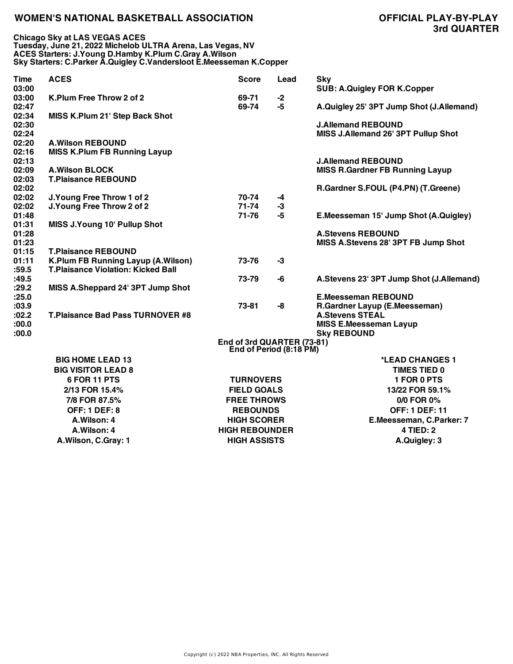| <b>Time</b>    | <b>ACES</b>                               | <b>Score</b>                                          | Lead | <b>Sky</b>                               |
|----------------|-------------------------------------------|-------------------------------------------------------|------|------------------------------------------|
| 03:00<br>03:00 | K.Plum Free Throw 2 of 2                  | 69-71                                                 | $-2$ | <b>SUB: A.Quigley FOR K.Copper</b>       |
| 02:47          |                                           | 69-74                                                 | $-5$ | A.Quigley 25' 3PT Jump Shot (J.Allemand) |
| 02:34          | MISS K.Plum 21' Step Back Shot            |                                                       |      |                                          |
| 02:30          |                                           |                                                       |      | <b>J.Allemand REBOUND</b>                |
| 02:24          |                                           |                                                       |      | MISS J.Allemand 26' 3PT Pullup Shot      |
| 02:20          | <b>A.Wilson REBOUND</b>                   |                                                       |      |                                          |
| 02:16          | <b>MISS K.Plum FB Running Layup</b>       |                                                       |      |                                          |
| 02:13          |                                           |                                                       |      | <b>J.Allemand REBOUND</b>                |
| 02:09          | <b>A.Wilson BLOCK</b>                     |                                                       |      | <b>MISS R.Gardner FB Running Layup</b>   |
| 02:03          | <b>T.Plaisance REBOUND</b>                |                                                       |      |                                          |
| 02:02          |                                           |                                                       |      | R.Gardner S.FOUL (P4.PN) (T.Greene)      |
| 02:02          | J. Young Free Throw 1 of 2                | 70-74                                                 | $-4$ |                                          |
| 02:02          | J. Young Free Throw 2 of 2                | $71 - 74$                                             | $-3$ |                                          |
| 01:48          |                                           | 71-76                                                 | $-5$ | E.Meesseman 15' Jump Shot (A.Quigley)    |
| 01:31<br>01:28 | <b>MISS J.Young 10' Pullup Shot</b>       |                                                       |      | <b>A.Stevens REBOUND</b>                 |
| 01:23          |                                           |                                                       |      | MISS A.Stevens 28' 3PT FB Jump Shot      |
| 01:15          | <b>T.Plaisance REBOUND</b>                |                                                       |      |                                          |
| 01:11          | <b>K.Plum FB Running Layup (A.Wilson)</b> | 73-76                                                 | $-3$ |                                          |
| :59.5          | <b>T.Plaisance Violation: Kicked Ball</b> |                                                       |      |                                          |
| :49.5          |                                           | 73-79                                                 | -6   | A.Stevens 23' 3PT Jump Shot (J.Allemand) |
| :29.2          | MISS A.Sheppard 24' 3PT Jump Shot         |                                                       |      |                                          |
| :25.0          |                                           |                                                       |      | <b>E.Meesseman REBOUND</b>               |
| :03.9          |                                           | 73-81                                                 | -8   | R.Gardner Layup (E.Meesseman)            |
| :02.2          | <b>T.Plaisance Bad Pass TURNOVER #8</b>   |                                                       |      | <b>A.Stevens STEAL</b>                   |
| :00.0          |                                           |                                                       |      | <b>MISS E.Meesseman Layup</b>            |
| :00.0          |                                           |                                                       |      | <b>Sky REBOUND</b>                       |
|                |                                           | End of 3rd QUARTER (73-81)<br>End of Period (8:18 PM) |      |                                          |
|                | <b>BIG HOME LEAD 13</b>                   |                                                       |      | *LEAD CHANGES 1                          |
|                | <b>BIG VISITOR LEAD 8</b>                 |                                                       |      | <b>TIMES TIED 0</b>                      |
|                | 6 FOR 11 PTS                              | <b>TURNOVERS</b>                                      |      | 1 FOR 0 PTS                              |
|                | 2/13 FOR 15.4%                            | <b>FIELD GOALS</b>                                    |      | 13/22 FOR 59.1%                          |
|                | 7/8 FOR 87.5%                             | <b>FREE THROWS</b>                                    |      | 0/0 FOR 0%                               |
|                | <b>OFF: 1 DEF: 8</b>                      | <b>REBOUNDS</b>                                       |      | <b>OFF: 1 DEF: 11</b>                    |
|                | A.Wilson: 4                               | <b>HIGH SCORER</b>                                    |      | E.Meesseman, C.Parker: 7                 |
|                | A.Wilson: 4                               | <b>HIGH REBOUNDER</b>                                 |      | <b>4 TIED: 2</b>                         |
|                | A.Wilson, C.Gray: 1                       |                                                       |      |                                          |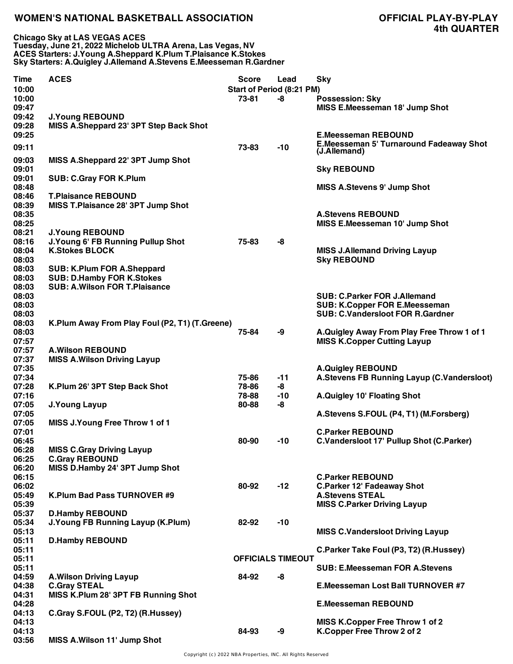**Chicago Sky at LAS VEGAS ACES Tuesday, June 21, 2022 Michelob ULTRA Arena, Las Vegas, NV ACES Starters: J.Young A.Sheppard K.Plum T.Plaisance K.Stokes Sky Starters: A.Quigley J.Allemand A.Stevens E.Meesseman R.Gardner**

| <b>Time</b>    | <b>ACES</b>                                             | <b>Score</b>              | Lead                     | <b>Sky</b>                                                                      |
|----------------|---------------------------------------------------------|---------------------------|--------------------------|---------------------------------------------------------------------------------|
| 10:00          |                                                         | Start of Period (8:21 PM) |                          |                                                                                 |
| 10:00          |                                                         | 73-81                     | -8                       | <b>Possession: Sky</b>                                                          |
| 09:47          |                                                         |                           |                          | MISS E.Meesseman 18' Jump Shot                                                  |
| 09:42          | <b>J.Young REBOUND</b>                                  |                           |                          |                                                                                 |
| 09:28          | MISS A.Sheppard 23' 3PT Step Back Shot                  |                           |                          |                                                                                 |
| 09:25          |                                                         |                           |                          | <b>E.Meesseman REBOUND</b>                                                      |
| 09:11          |                                                         | 73-83                     | $-10$                    | <b>E.Meesseman 5' Turnaround Fadeaway Shot</b>                                  |
|                |                                                         |                           |                          | (J.Allemand)                                                                    |
| 09:03          | MISS A.Sheppard 22' 3PT Jump Shot                       |                           |                          |                                                                                 |
| 09:01<br>09:01 |                                                         |                           |                          | <b>Sky REBOUND</b>                                                              |
| 08:48          | <b>SUB: C.Gray FOR K.Plum</b>                           |                           |                          | <b>MISS A.Stevens 9' Jump Shot</b>                                              |
| 08:46          | <b>T.Plaisance REBOUND</b>                              |                           |                          |                                                                                 |
| 08:39          | MISS T.Plaisance 28' 3PT Jump Shot                      |                           |                          |                                                                                 |
| 08:35          |                                                         |                           |                          | <b>A.Stevens REBOUND</b>                                                        |
| 08:25          |                                                         |                           |                          | MISS E.Meesseman 10' Jump Shot                                                  |
| 08:21          | <b>J.Young REBOUND</b>                                  |                           |                          |                                                                                 |
| 08:16          | J. Young 6' FB Running Pullup Shot                      | 75-83                     | -8                       |                                                                                 |
| 08:04          | <b>K.Stokes BLOCK</b>                                   |                           |                          | <b>MISS J.Allemand Driving Layup</b>                                            |
| 08:03          |                                                         |                           |                          | <b>Sky REBOUND</b>                                                              |
| 08:03          | <b>SUB: K.Plum FOR A.Sheppard</b>                       |                           |                          |                                                                                 |
| 08:03          | <b>SUB: D.Hamby FOR K.Stokes</b>                        |                           |                          |                                                                                 |
| 08:03          | <b>SUB: A.Wilson FOR T.Plaisance</b>                    |                           |                          |                                                                                 |
| 08:03          |                                                         |                           |                          | <b>SUB: C.Parker FOR J.Allemand</b>                                             |
| 08:03<br>08:03 |                                                         |                           |                          | <b>SUB: K.Copper FOR E.Meesseman</b><br><b>SUB: C.Vandersloot FOR R.Gardner</b> |
| 08:03          |                                                         |                           |                          |                                                                                 |
| 08:03          | K.Plum Away From Play Foul (P2, T1) (T.Greene)          | 75-84                     | -9                       | A.Quigley Away From Play Free Throw 1 of 1                                      |
| 07:57          |                                                         |                           |                          | <b>MISS K.Copper Cutting Layup</b>                                              |
| 07:57          | <b>A.Wilson REBOUND</b>                                 |                           |                          |                                                                                 |
| 07:37          | <b>MISS A. Wilson Driving Layup</b>                     |                           |                          |                                                                                 |
| 07:35          |                                                         |                           |                          | <b>A.Quigley REBOUND</b>                                                        |
| 07:34          |                                                         | 75-86                     | $-11$                    | A.Stevens FB Running Layup (C.Vandersloot)                                      |
| 07:28          | K.Plum 26' 3PT Step Back Shot                           | 78-86                     | -8                       |                                                                                 |
| 07:16          |                                                         | 78-88                     | $-10$                    | A.Quigley 10' Floating Shot                                                     |
| 07:05          | <b>J.Young Layup</b>                                    | 80-88                     | -8                       |                                                                                 |
| 07:05          |                                                         |                           |                          | A.Stevens S.FOUL (P4, T1) (M.Forsberg)                                          |
| 07:05          | MISS J.Young Free Throw 1 of 1                          |                           |                          |                                                                                 |
| 07:01          |                                                         |                           |                          | <b>C.Parker REBOUND</b>                                                         |
| 06:45          |                                                         | 80-90                     | $-10$                    | <b>C.Vandersloot 17' Pullup Shot (C.Parker)</b>                                 |
| 06:28          | <b>MISS C.Gray Driving Layup</b>                        |                           |                          |                                                                                 |
| 06:25<br>06:20 | <b>C.Gray REBOUND</b><br>MISS D.Hamby 24' 3PT Jump Shot |                           |                          |                                                                                 |
| 06:15          |                                                         |                           |                          | <b>C.Parker REBOUND</b>                                                         |
| 06:02          |                                                         | 80-92                     | $-12$                    | <b>C.Parker 12' Fadeaway Shot</b>                                               |
| 05:49          | K.Plum Bad Pass TURNOVER #9                             |                           |                          | <b>A.Stevens STEAL</b>                                                          |
| 05:39          |                                                         |                           |                          | <b>MISS C.Parker Driving Layup</b>                                              |
| 05:37          | <b>D.Hamby REBOUND</b>                                  |                           |                          |                                                                                 |
| 05:34          | J. Young FB Running Layup (K. Plum)                     | 82-92                     | $-10$                    |                                                                                 |
| 05:13          |                                                         |                           |                          | <b>MISS C.Vandersloot Driving Layup</b>                                         |
| 05:11          | <b>D.Hamby REBOUND</b>                                  |                           |                          |                                                                                 |
| 05:11          |                                                         |                           |                          | C.Parker Take Foul (P3, T2) (R.Hussey)                                          |
| 05:11          |                                                         |                           | <b>OFFICIALS TIMEOUT</b> |                                                                                 |
| 05:11          |                                                         |                           |                          | <b>SUB: E.Meesseman FOR A.Stevens</b>                                           |
| 04:59          | <b>A.Wilson Driving Layup</b>                           | 84-92                     | -8                       |                                                                                 |
| 04:38          | <b>C.Gray STEAL</b>                                     |                           |                          | <b>E.Meesseman Lost Ball TURNOVER #7</b>                                        |
| 04:31          | MISS K.Plum 28' 3PT FB Running Shot                     |                           |                          |                                                                                 |
| 04:28          |                                                         |                           |                          | <b>E.Meesseman REBOUND</b>                                                      |
| 04:13          | C.Gray S.FOUL (P2, T2) (R.Hussey)                       |                           |                          |                                                                                 |
| 04:13<br>04:13 |                                                         | 84-93                     | -9                       | <b>MISS K.Copper Free Throw 1 of 2</b><br>K.Copper Free Throw 2 of 2            |
| 03:56          | MISS A. Wilson 11' Jump Shot                            |                           |                          |                                                                                 |
|                |                                                         |                           |                          |                                                                                 |